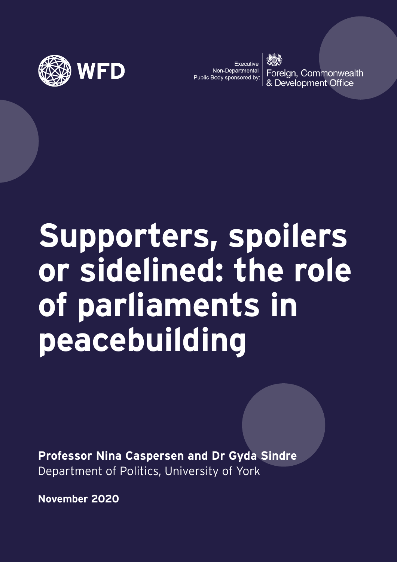

Executive Non-Departmental Public Body sponsored by:

Foreign, Commonwealth & Development Office

# **Supporters, spoilers or sidelined: the role of parliaments in peacebuilding**

**Professor Nina Caspersen and Dr Gyda Sindre** Department of Politics, University of York

**November 2020**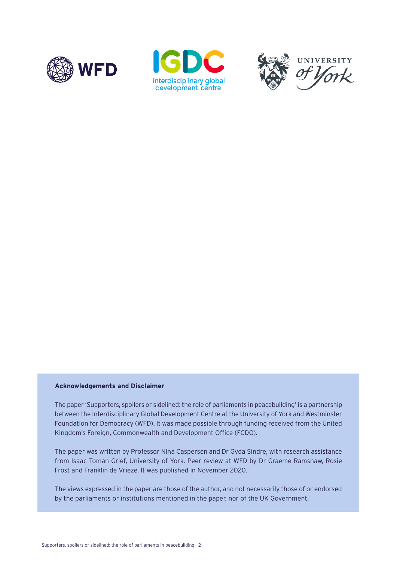





#### **Acknowledgements and Disclaimer**

The paper 'Supporters, spoilers or sidelined: the role of parliaments in peacebuilding' is a partnership between the Interdisciplinary Global Development Centre at the University of York and Westminster Foundation for Democracy (WFD). It was made possible through funding received from the United Kingdom's Foreign, Commonwealth and Development Office (FCDO).

The paper was written by Professor Nina Caspersen and Dr Gyda Sindre, with research assistance from Isaac Toman Grief, University of York. Peer review at WFD by Dr Graeme Ramshaw, Rosie Frost and Franklin de Vrieze. It was published in November 2020.

The views expressed in the paper are those of the author, and not necessarily those of or endorsed by the parliaments or institutions mentioned in the paper, nor of the UK Government.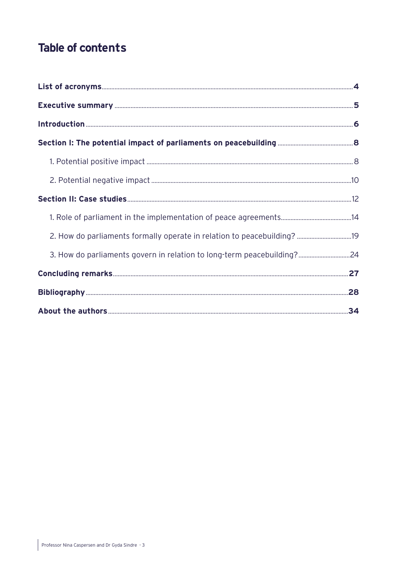# **Table of contents**

| 2. How do parliaments formally operate in relation to peacebuilding? 19 |  |
|-------------------------------------------------------------------------|--|
| 3. How do parliaments govern in relation to long-term peacebuilding?24  |  |
|                                                                         |  |
|                                                                         |  |
|                                                                         |  |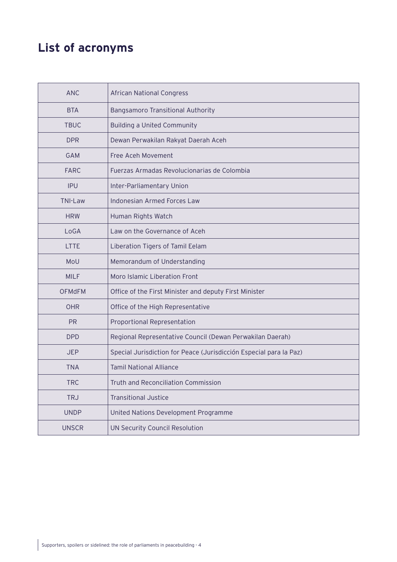# <span id="page-3-0"></span>**List of acronyms**

| <b>ANC</b>     | <b>African National Congress</b>                                   |
|----------------|--------------------------------------------------------------------|
| <b>BTA</b>     | Bangsamoro Transitional Authority                                  |
| <b>TBUC</b>    | <b>Building a United Community</b>                                 |
| <b>DPR</b>     | Dewan Perwakilan Rakyat Daerah Aceh                                |
| <b>GAM</b>     | Free Aceh Movement                                                 |
| <b>FARC</b>    | Fuerzas Armadas Revolucionarias de Colombia                        |
| <b>IPU</b>     | Inter-Parliamentary Union                                          |
| <b>TNI-Law</b> | Indonesian Armed Forces Law                                        |
| <b>HRW</b>     | Human Rights Watch                                                 |
| LoGA           | Law on the Governance of Aceh                                      |
| <b>LTTE</b>    | Liberation Tigers of Tamil Eelam                                   |
| MoU            | Memorandum of Understanding                                        |
| <b>MILF</b>    | Moro Islamic Liberation Front                                      |
| <b>OFMdFM</b>  | Office of the First Minister and deputy First Minister             |
| <b>OHR</b>     | Office of the High Representative                                  |
| <b>PR</b>      | Proportional Representation                                        |
| <b>DPD</b>     | Regional Representative Council (Dewan Perwakilan Daerah)          |
| <b>JEP</b>     | Special Jurisdiction for Peace (Jurisdicción Especial para la Paz) |
| <b>TNA</b>     | <b>Tamil National Alliance</b>                                     |
| <b>TRC</b>     | Truth and Reconciliation Commission                                |
| <b>TRJ</b>     | <b>Transitional Justice</b>                                        |
| <b>UNDP</b>    | United Nations Development Programme                               |
| <b>UNSCR</b>   | UN Security Council Resolution                                     |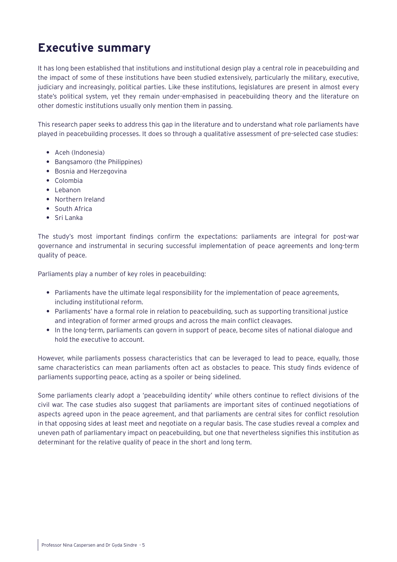# <span id="page-4-0"></span>**Executive summary**

It has long been established that institutions and institutional design play a central role in peacebuilding and the impact of some of these institutions have been studied extensively, particularly the military, executive, judiciary and increasingly, political parties. Like these institutions, legislatures are present in almost every state's political system, yet they remain under-emphasised in peacebuilding theory and the literature on other domestic institutions usually only mention them in passing.

This research paper seeks to address this gap in the literature and to understand what role parliaments have played in peacebuilding processes. It does so through a qualitative assessment of pre-selected case studies:

- **•** Aceh (Indonesia)
- **•** Bangsamoro (the Philippines)
- **•** Bosnia and Herzegovina
- **•** Colombia
- **•** Lebanon
- **•** Northern Ireland
- **•** South Africa
- **•** Sri Lanka

The study's most important findings confirm the expectations: parliaments are integral for post-war governance and instrumental in securing successful implementation of peace agreements and long-term quality of peace.

Parliaments play a number of key roles in peacebuilding:

- **•** Parliaments have the ultimate legal responsibility for the implementation of peace agreements, including institutional reform.
- **•** Parliaments' have a formal role in relation to peacebuilding, such as supporting transitional justice and integration of former armed groups and across the main conflict cleavages.
- **•** In the long-term, parliaments can govern in support of peace, become sites of national dialogue and hold the executive to account.

However, while parliaments possess characteristics that can be leveraged to lead to peace, equally, those same characteristics can mean parliaments often act as obstacles to peace. This study finds evidence of parliaments supporting peace, acting as a spoiler or being sidelined.

Some parliaments clearly adopt a 'peacebuilding identity' while others continue to reflect divisions of the civil war. The case studies also suggest that parliaments are important sites of continued negotiations of aspects agreed upon in the peace agreement, and that parliaments are central sites for conflict resolution in that opposing sides at least meet and negotiate on a regular basis. The case studies reveal a complex and uneven path of parliamentary impact on peacebuilding, but one that nevertheless signifies this institution as determinant for the relative quality of peace in the short and long term.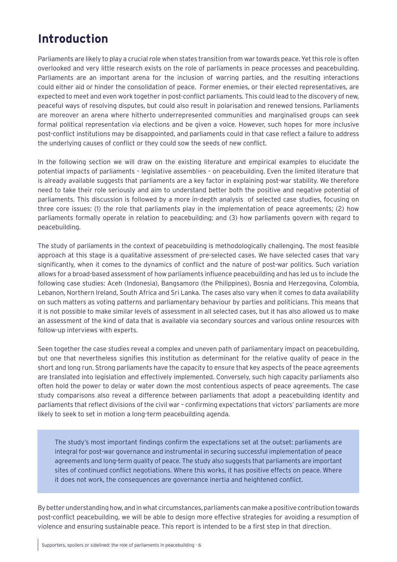# <span id="page-5-0"></span>**Introduction**

Parliaments are likely to play a crucial role when states transition from war towards peace. Yet this role is often overlooked and very little research exists on the role of parliaments in peace processes and peacebuilding. Parliaments are an important arena for the inclusion of warring parties, and the resulting interactions could either aid or hinder the consolidation of peace. Former enemies, or their elected representatives, are expected to meet and even work together in post-conflict parliaments. This could lead to the discovery of new, peaceful ways of resolving disputes, but could also result in polarisation and renewed tensions. Parliaments are moreover an arena where hitherto underrepresented communities and marginalised groups can seek formal political representation via elections and be given a voice. However, such hopes for more inclusive post-conflict institutions may be disappointed, and parliaments could in that case reflect a failure to address the underlying causes of conflict or they could sow the seeds of new conflict.

In the following section we will draw on the existing literature and empirical examples to elucidate the potential impacts of parliaments – legislative assemblies – on peacebuilding. Even the limited literature that is already available suggests that parliaments are a key factor in explaining post-war stability. We therefore need to take their role seriously and aim to understand better both the positive and negative potential of parliaments. This discussion is followed by a more in-depth analysis of selected case studies, focusing on three core issues: (1) the role that parliaments play in the implementation of peace agreements; (2) how parliaments formally operate in relation to peacebuilding; and (3) how parliaments govern with regard to peacebuilding.

The study of parliaments in the context of peacebuilding is methodologically challenging. The most feasible approach at this stage is a qualitative assessment of pre-selected cases. We have selected cases that vary significantly, when it comes to the dynamics of conflict and the nature of post-war politics. Such variation allows for a broad-based assessment of how parliaments influence peacebuilding and has led us to include the following case studies: Aceh (Indonesia), Bangsamoro (the Philippines), Bosnia and Herzegovina, Colombia, Lebanon, Northern Ireland, South Africa and Sri Lanka. The cases also vary when it comes to data availability on such matters as voting patterns and parliamentary behaviour by parties and politicians. This means that it is not possible to make similar levels of assessment in all selected cases, but it has also allowed us to make an assessment of the kind of data that is available via secondary sources and various online resources with follow-up interviews with experts.

Seen together the case studies reveal a complex and uneven path of parliamentary impact on peacebuilding, but one that nevertheless signifies this institution as determinant for the relative quality of peace in the short and long run. Strong parliaments have the capacity to ensure that key aspects of the peace agreements are translated into legislation and effectively implemented. Conversely, such high capacity parliaments also often hold the power to delay or water down the most contentious aspects of peace agreements. The case study comparisons also reveal a difference between parliaments that adopt a peacebuilding identity and parliaments that reflect divisions of the civil war – confirming expectations that victors' parliaments are more likely to seek to set in motion a long-term peacebuilding agenda.

The study's most important findings confirm the expectations set at the outset: parliaments are integral for post-war governance and instrumental in securing successful implementation of peace agreements and long-term quality of peace. The study also suggests that parliaments are important sites of continued conflict negotiations. Where this works, it has positive effects on peace. Where it does not work, the consequences are governance inertia and heightened conflict.

By better understanding how, and in what circumstances, parliaments can make a positive contribution towards post-conflict peacebuilding, we will be able to design more effective strategies for avoiding a resumption of violence and ensuring sustainable peace. This report is intended to be a first step in that direction.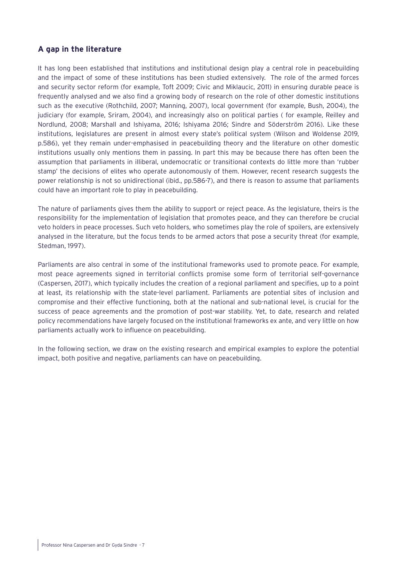## **A gap in the literature**

It has long been established that institutions and institutional design play a central role in peacebuilding and the impact of some of these institutions has been studied extensively. The role of the armed forces and security sector reform (for example, Toft 2009; Civic and Miklaucic, 2011) in ensuring durable peace is frequently analysed and we also find a growing body of research on the role of other domestic institutions such as the executive (Rothchild, 2007; Manning, 2007), local government (for example, Bush, 2004), the judiciary (for example, Sriram, 2004), and increasingly also on political parties ( for example, Reilley and Nordlund, 2008; Marshall and Ishiyama, 2016; Ishiyama 2016; Sindre and Söderström 2016). Like these institutions, legislatures are present in almost every state's political system (Wilson and Woldense 2019, p.586), yet they remain under-emphasised in peacebuilding theory and the literature on other domestic institutions usually only mentions them in passing. In part this may be because there has often been the assumption that parliaments in illiberal, undemocratic or transitional contexts do little more than 'rubber stamp' the decisions of elites who operate autonomously of them. However, recent research suggests the power relationship is not so unidirectional (ibid., pp.586-7), and there is reason to assume that parliaments could have an important role to play in peacebuilding.

The nature of parliaments gives them the ability to support or reject peace. As the legislature, theirs is the responsibility for the implementation of legislation that promotes peace, and they can therefore be crucial veto holders in peace processes. Such veto holders, who sometimes play the role of spoilers, are extensively analysed in the literature, but the focus tends to be armed actors that pose a security threat (for example, Stedman, 1997).

Parliaments are also central in some of the institutional frameworks used to promote peace. For example, most peace agreements signed in territorial conflicts promise some form of territorial self-governance (Caspersen, 2017), which typically includes the creation of a regional parliament and specifies, up to a point at least, its relationship with the state-level parliament. Parliaments are potential sites of inclusion and compromise and their effective functioning, both at the national and sub-national level, is crucial for the success of peace agreements and the promotion of post-war stability. Yet, to date, research and related policy recommendations have largely focused on the institutional frameworks ex ante, and very little on how parliaments actually work to influence on peacebuilding.

In the following section, we draw on the existing research and empirical examples to explore the potential impact, both positive and negative, parliaments can have on peacebuilding.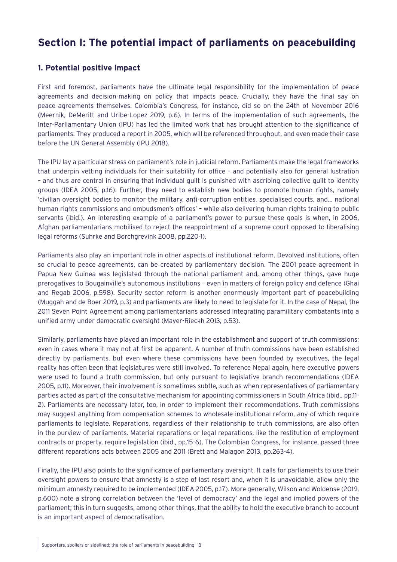## <span id="page-7-0"></span>**Section I: The potential impact of parliaments on peacebuilding**

## **1. Potential positive impact**

First and foremost, parliaments have the ultimate legal responsibility for the implementation of peace agreements and decision-making on policy that impacts peace. Crucially, they have the final say on peace agreements themselves. Colombia's Congress, for instance, did so on the 24th of November 2016 (Meernik, DeMeritt and Uribe-Lopez 2019, p.6). In terms of the implementation of such agreements, the Inter-Parliamentary Union (IPU) has led the limited work that has brought attention to the significance of parliaments. They produced a report in 2005, which will be referenced throughout, and even made their case before the UN General Assembly (IPU 2018).

The IPU lay a particular stress on parliament's role in judicial reform. Parliaments make the legal frameworks that underpin vetting individuals for their suitability for office – and potentially also for general lustration – and thus are central in ensuring that individual guilt is punished with ascribing collective guilt to identity groups (IDEA 2005, p.16). Further, they need to establish new bodies to promote human rights, namely 'civilian oversight bodies to monitor the military, anti-corruption entities, specialised courts, and… national human rights commissions and ombudsmen's offices' – while also delivering human rights training to public servants (ibid.). An interesting example of a parliament's power to pursue these goals is when, in 2006, Afghan parliamentarians mobilised to reject the reappointment of a supreme court opposed to liberalising legal reforms (Suhrke and Borchgrevink 2008, pp.220-1).

Parliaments also play an important role in other aspects of institutional reform. Devolved institutions, often so crucial to peace agreements, can be created by parliamentary decision. The 2001 peace agreement in Papua New Guinea was legislated through the national parliament and, among other things, gave huge prerogatives to Bougainville's autonomous institutions – even in matters of foreign policy and defence (Ghai and Regab 2006, p.598). Security sector reform is another enormously important part of peacebuilding (Muggah and de Boer 2019, p.3) and parliaments are likely to need to legislate for it. In the case of Nepal, the 2011 Seven Point Agreement among parliamentarians addressed integrating paramilitary combatants into a unified army under democratic oversight (Mayer-Rieckh 2013, p.53).

Similarly, parliaments have played an important role in the establishment and support of truth commissions; even in cases where it may not at first be apparent. A number of truth commissions have been established directly by parliaments, but even where these commissions have been founded by executives, the legal reality has often been that legislatures were still involved. To reference Nepal again, here executive powers were used to found a truth commission, but only pursuant to legislative branch recommendations (IDEA 2005, p.11). Moreover, their involvement is sometimes subtle, such as when representatives of parliamentary parties acted as part of the consultative mechanism for appointing commissioners in South Africa (ibid., pp.11- 2). Parliaments are necessary later, too, in order to implement their recommendations. Truth commissions may suggest anything from compensation schemes to wholesale institutional reform, any of which require parliaments to legislate. Reparations, regardless of their relationship to truth commissions, are also often in the purview of parliaments. Material reparations or legal reparations, like the restitution of employment contracts or property, require legislation (ibid., pp.15-6). The Colombian Congress, for instance, passed three different reparations acts between 2005 and 2011 (Brett and Malagon 2013, pp.263-4).

Finally, the IPU also points to the significance of parliamentary oversight. It calls for parliaments to use their oversight powers to ensure that amnesty is a step of last resort and, when it is unavoidable, allow only the minimum amnesty required to be implemented (IDEA 2005, p.17). More generally, Wilson and Woldense (2019, p.600) note a strong correlation between the 'level of democracy' and the legal and implied powers of the parliament; this in turn suggests, among other things, that the ability to hold the executive branch to account is an important aspect of democratisation.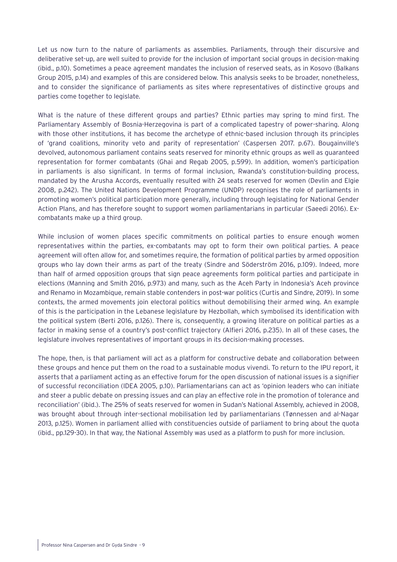Let us now turn to the nature of parliaments as assemblies. Parliaments, through their discursive and deliberative set-up, are well suited to provide for the inclusion of important social groups in decision-making (ibid., p.10). Sometimes a peace agreement mandates the inclusion of reserved seats, as in Kosovo (Balkans Group 2015, p.14) and examples of this are considered below. This analysis seeks to be broader, nonetheless, and to consider the significance of parliaments as sites where representatives of distinctive groups and parties come together to legislate.

What is the nature of these different groups and parties? Ethnic parties may spring to mind first. The Parliamentary Assembly of Bosnia-Herzegovina is part of a complicated tapestry of power-sharing. Along with those other institutions, it has become the archetype of ethnic-based inclusion through its principles of 'grand coalitions, minority veto and parity of representation' (Caspersen 2017. p.67). Bougainville's devolved, autonomous parliament contains seats reserved for minority ethnic groups as well as guaranteed representation for former combatants (Ghai and Regab 2005, p.599). In addition, women's participation in parliaments is also significant. In terms of formal inclusion, Rwanda's constitution-building process, mandated by the Arusha Accords, eventually resulted with 24 seats reserved for women (Devlin and Elgie 2008, p.242). The United Nations Development Programme (UNDP) recognises the role of parliaments in promoting women's political participation more generally, including through legislating for National Gender Action Plans, and has therefore sought to support women parliamentarians in particular (Saeedi 2016). Excombatants make up a third group.

While inclusion of women places specific commitments on political parties to ensure enough women representatives within the parties, ex-combatants may opt to form their own political parties. A peace agreement will often allow for, and sometimes require, the formation of political parties by armed opposition groups who lay down their arms as part of the treaty (Sindre and Söderström 2016, p.109). Indeed, more than half of armed opposition groups that sign peace agreements form political parties and participate in elections (Manning and Smith 2016, p.973) and many, such as the Aceh Party in Indonesia's Aceh province and Renamo in Mozambique, remain stable contenders in post-war politics (Curtis and Sindre, 2019). In some contexts, the armed movements join electoral politics without demobilising their armed wing. An example of this is the participation in the Lebanese legislature by Hezbollah, which symbolised its identification with the political system (Berti 2016, p.126). There is, consequently, a growing literature on political parties as a factor in making sense of a country's post-conflict trajectory (Alfieri 2016, p.235). In all of these cases, the legislature involves representatives of important groups in its decision-making processes.

The hope, then, is that parliament will act as a platform for constructive debate and collaboration between these groups and hence put them on the road to a sustainable modus vivendi. To return to the IPU report, it asserts that a parliament acting as an effective forum for the open discussion of national issues is a signifier of successful reconciliation (IDEA 2005, p.10). Parliamentarians can act as 'opinion leaders who can initiate and steer a public debate on pressing issues and can play an effective role in the promotion of tolerance and reconciliation' (ibid.). The 25% of seats reserved for women in Sudan's National Assembly, achieved in 2008, was brought about through inter-sectional mobilisation led by parliamentarians (Tønnessen and al-Nagar 2013, p.125). Women in parliament allied with constituencies outside of parliament to bring about the quota (ibid., pp.129-30). In that way, the National Assembly was used as a platform to push for more inclusion.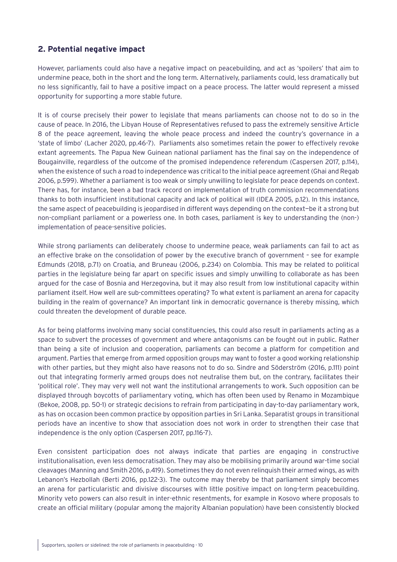## <span id="page-9-0"></span>**2. Potential negative impact**

However, parliaments could also have a negative impact on peacebuilding, and act as 'spoilers' that aim to undermine peace, both in the short and the long term. Alternatively, parliaments could, less dramatically but no less significantly, fail to have a positive impact on a peace process. The latter would represent a missed opportunity for supporting a more stable future.

It is of course precisely their power to legislate that means parliaments can choose not to do so in the cause of peace. In 2016, the Libyan House of Representatives refused to pass the extremely sensitive Article 8 of the peace agreement, leaving the whole peace process and indeed the country's governance in a 'state of limbo' (Lacher 2020, pp.46-7). Parliaments also sometimes retain the power to effectively revoke extant agreements. The Papua New Guinean national parliament has the final say on the independence of Bougainville, regardless of the outcome of the promised independence referendum (Caspersen 2017, p.114), when the existence of such a road to independence was critical to the initial peace agreement (Ghai and Regab 2006, p.599). Whether a parliament is too weak or simply unwilling to legislate for peace depends on context. There has, for instance, been a bad track record on implementation of truth commission recommendations thanks to both insufficient institutional capacity and lack of political will (IDEA 2005, p.12). In this instance, the same aspect of peacebuilding is jeopardised in different ways depending on the context—be it a strong but non-compliant parliament or a powerless one. In both cases, parliament is key to understanding the (non-) implementation of peace-sensitive policies.

While strong parliaments can deliberately choose to undermine peace, weak parliaments can fail to act as an effective brake on the consolidation of power by the executive branch of government – see for example Edmunds (2018, p.71) on Croatia, and Bruneau (2006, p.234) on Colombia. This may be related to political parties in the legislature being far apart on specific issues and simply unwilling to collaborate as has been argued for the case of Bosnia and Herzegovina, but it may also result from low institutional capacity within parliament itself. How well are sub-committees operating? To what extent is parliament an arena for capacity building in the realm of governance? An important link in democratic governance is thereby missing, which could threaten the development of durable peace.

As for being platforms involving many social constituencies, this could also result in parliaments acting as a space to subvert the processes of government and where antagonisms can be fought out in public. Rather than being a site of inclusion and cooperation, parliaments can become a platform for competition and argument. Parties that emerge from armed opposition groups may want to foster a good working relationship with other parties, but they might also have reasons not to do so. Sindre and Söderström (2016, p.111) point out that integrating formerly armed groups does not neutralise them but, on the contrary, facilitates their 'political role'. They may very well not want the institutional arrangements to work. Such opposition can be displayed through boycotts of parliamentary voting, which has often been used by Renamo in Mozambique (Bekoe, 2008, pp. 50-1) or strategic decisions to refrain from participating in day-to-day parliamentary work, as has on occasion been common practice by opposition parties in Sri Lanka. Separatist groups in transitional periods have an incentive to show that association does not work in order to strengthen their case that independence is the only option (Caspersen 2017, pp.116-7).

Even consistent participation does not always indicate that parties are engaging in constructive institutionalisation, even less democratisation. They may also be mobilising primarily around war-time social cleavages (Manning and Smith 2016, p.419). Sometimes they do not even relinquish their armed wings, as with Lebanon's Hezbollah (Berti 2016, pp.122-3). The outcome may thereby be that parliament simply becomes an arena for particularistic and divisive discourses with little positive impact on long-term peacebuilding. Minority veto powers can also result in inter-ethnic resentments, for example in Kosovo where proposals to create an official military (popular among the majority Albanian population) have been consistently blocked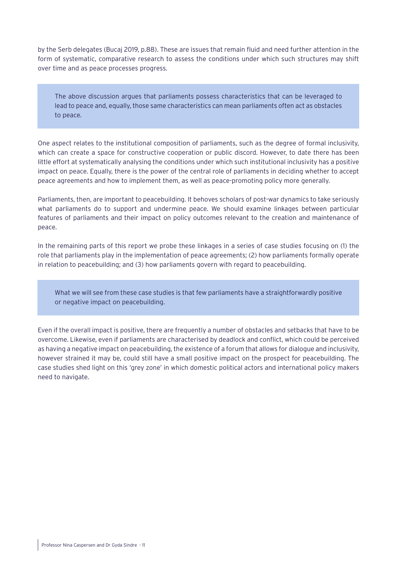by the Serb delegates (Bucaj 2019, p.88). These are issues that remain fluid and need further attention in the form of systematic, comparative research to assess the conditions under which such structures may shift over time and as peace processes progress.

The above discussion argues that parliaments possess characteristics that can be leveraged to lead to peace and, equally, those same characteristics can mean parliaments often act as obstacles to peace.

One aspect relates to the institutional composition of parliaments, such as the degree of formal inclusivity, which can create a space for constructive cooperation or public discord. However, to date there has been little effort at systematically analysing the conditions under which such institutional inclusivity has a positive impact on peace. Equally, there is the power of the central role of parliaments in deciding whether to accept peace agreements and how to implement them, as well as peace-promoting policy more generally.

Parliaments, then, are important to peacebuilding. It behoves scholars of post-war dynamics to take seriously what parliaments do to support and undermine peace. We should examine linkages between particular features of parliaments and their impact on policy outcomes relevant to the creation and maintenance of peace.

In the remaining parts of this report we probe these linkages in a series of case studies focusing on (1) the role that parliaments play in the implementation of peace agreements; (2) how parliaments formally operate in relation to peacebuilding; and (3) how parliaments govern with regard to peacebuilding.

What we will see from these case studies is that few parliaments have a straightforwardly positive or negative impact on peacebuilding.

Even if the overall impact is positive, there are frequently a number of obstacles and setbacks that have to be overcome. Likewise, even if parliaments are characterised by deadlock and conflict, which could be perceived as having a negative impact on peacebuilding, the existence of a forum that allows for dialogue and inclusivity, however strained it may be, could still have a small positive impact on the prospect for peacebuilding. The case studies shed light on this 'grey zone' in which domestic political actors and international policy makers need to navigate.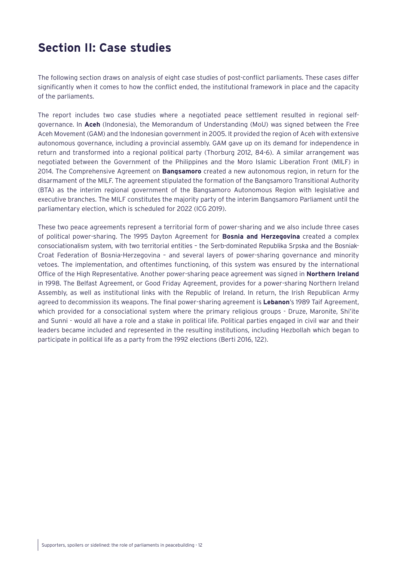## <span id="page-11-0"></span>**Section II: Case studies**

The following section draws on analysis of eight case studies of post-conflict parliaments. These cases differ significantly when it comes to how the conflict ended, the institutional framework in place and the capacity of the parliaments.

The report includes two case studies where a negotiated peace settlement resulted in regional selfgovernance. In **Aceh** (Indonesia), the Memorandum of Understanding (MoU) was signed between the Free Aceh Movement (GAM) and the Indonesian government in 2005. It provided the region of Aceh with extensive autonomous governance, including a provincial assembly. GAM gave up on its demand for independence in return and transformed into a regional political party (Thorburg 2012, 84-6). A similar arrangement was negotiated between the Government of the Philippines and the Moro Islamic Liberation Front (MILF) in 2014. The Comprehensive Agreement on **Bangsamoro** created a new autonomous region, in return for the disarmament of the MILF. The agreement stipulated the formation of the Bangsamoro Transitional Authority (BTA) as the interim regional government of the Bangsamoro Autonomous Region with legislative and executive branches. The MILF constitutes the majority party of the interim Bangsamoro Parliament until the parliamentary election, which is scheduled for 2022 (ICG 2019).

These two peace agreements represent a territorial form of power-sharing and we also include three cases of political power-sharing. The 1995 Dayton Agreement for **Bosnia and Herzegovina** created a complex consociationalism system, with two territorial entities – the Serb-dominated Republika Srpska and the Bosniak-Croat Federation of Bosnia-Herzegovina – and several layers of power-sharing governance and minority vetoes. The implementation, and oftentimes functioning, of this system was ensured by the international Office of the High Representative. Another power-sharing peace agreement was signed in **Northern Ireland** in 1998. The Belfast Agreement, or Good Friday Agreement, provides for a power-sharing Northern Ireland Assembly, as well as institutional links with the Republic of Ireland. In return, the Irish Republican Army agreed to decommission its weapons. The final power-sharing agreement is **Lebanon**'s 1989 Taif Agreement, which provided for a consociational system where the primary religious groups - Druze, Maronite, Shi'ite and Sunni - would all have a role and a stake in political life. Political parties engaged in civil war and their leaders became included and represented in the resulting institutions, including Hezbollah which began to participate in political life as a party from the 1992 elections (Berti 2016, 122).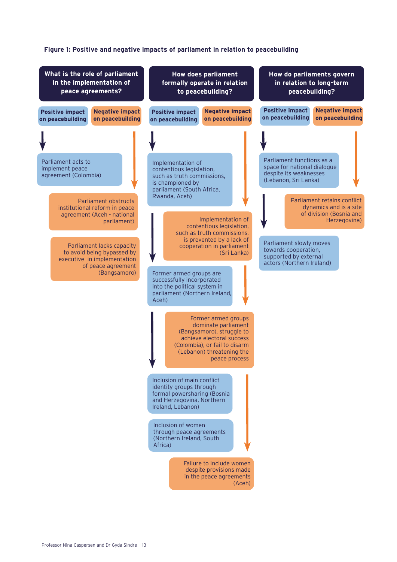#### **Figure 1: Positive and negative impacts of parliament in relation to peacebuilding**

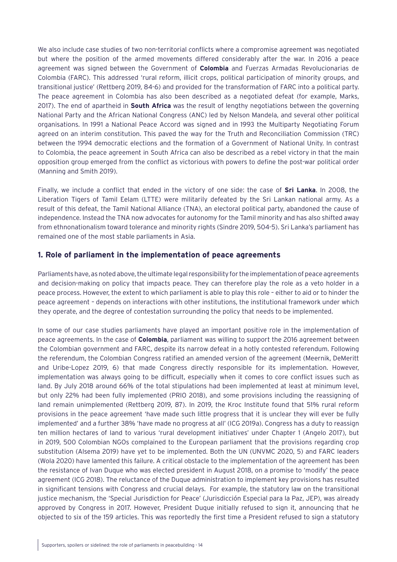<span id="page-13-0"></span>We also include case studies of two non-territorial conflicts where a compromise agreement was negotiated but where the position of the armed movements differed considerably after the war. In 2016 a peace agreement was signed between the Government of **Colombia** and Fuerzas Armadas Revolucionarias de Colombia (FARC). This addressed 'rural reform, illicit crops, political participation of minority groups, and transitional justice' (Rettberg 2019, 84-6) and provided for the transformation of FARC into a political party. The peace agreement in Colombia has also been described as a negotiated defeat (for example, Marks, 2017). The end of apartheid in **South Africa** was the result of lengthy negotiations between the governing National Party and the African National Congress (ANC) led by Nelson Mandela, and several other political organisations. In 1991 a National Peace Accord was signed and in 1993 the Multiparty Negotiating Forum agreed on an interim constitution. This paved the way for the Truth and Reconciliation Commission (TRC) between the 1994 democratic elections and the formation of a Government of National Unity. In contrast to Colombia, the peace agreement in South Africa can also be described as a rebel victory in that the main opposition group emerged from the conflict as victorious with powers to define the post-war political order (Manning and Smith 2019).

Finally, we include a conflict that ended in the victory of one side: the case of **Sri Lanka**. In 2008, the Liberation Tigers of Tamil Eelam (LTTE) were militarily defeated by the Sri Lankan national army. As a result of this defeat, the Tamil National Alliance (TNA), an electoral political party, abandoned the cause of independence. Instead the TNA now advocates for autonomy for the Tamil minority and has also shifted away from ethnonationalism toward tolerance and minority rights (Sindre 2019, 504-5). Sri Lanka's parliament has remained one of the most stable parliaments in Asia.

#### **1. Role of parliament in the implementation of peace agreements**

Parliaments have, as noted above, the ultimate legal responsibility for the implementation of peace agreements and decision-making on policy that impacts peace. They can therefore play the role as a veto holder in a peace process. However, the extent to which parliament is able to play this role – either to aid or to hinder the peace agreement – depends on interactions with other institutions, the institutional framework under which they operate, and the degree of contestation surrounding the policy that needs to be implemented.

In some of our case studies parliaments have played an important positive role in the implementation of peace agreements. In the case of **Colombia**, parliament was willing to support the 2016 agreement between the Colombian government and FARC, despite its narrow defeat in a hotly contested referendum. Following the referendum, the Colombian Congress ratified an amended version of the agreement (Meernik, DeMeritt and Uribe-Lopez 2019, 6) that made Congress directly responsible for its implementation. However, implementation was always going to be difficult, especially when it comes to core conflict issues such as land. By July 2018 around 66% of the total stipulations had been implemented at least at minimum level, but only 22% had been fully implemented (PRIO 2018), and some provisions including the reassigning of land remain unimplemented (Rettberg 2019, 87). In 2019, the Kroc Institute found that 51% rural reform provisions in the peace agreement 'have made such little progress that it is unclear they will ever be fully implemented' and a further 38% 'have made no progress at all' (ICG 2019a). Congress has a duty to reassign ten million hectares of land to various 'rural development initiatives' under Chapter 1 (Angelo 2017), but in 2019, 500 Colombian NGOs complained to the European parliament that the provisions regarding crop substitution (Alsema 2019) have yet to be implemented. Both the UN (UNVMC 2020, 5) and FARC leaders (Wola 2020) have lamented this failure. A critical obstacle to the implementation of the agreement has been the resistance of Ivan Duque who was elected president in August 2018, on a promise to 'modify' the peace agreement (ICG 2018). The reluctance of the Duque administration to implement key provisions has resulted in significant tensions with Congress and crucial delays. For example, the statutory law on the transitional justice mechanism, the 'Special Jurisdiction for Peace' (Jurisdicción Especial para la Paz, JEP), was already approved by Congress in 2017. However, President Duque initially refused to sign it, announcing that he objected to six of the 159 articles. This was reportedly the first time a President refused to sign a statutory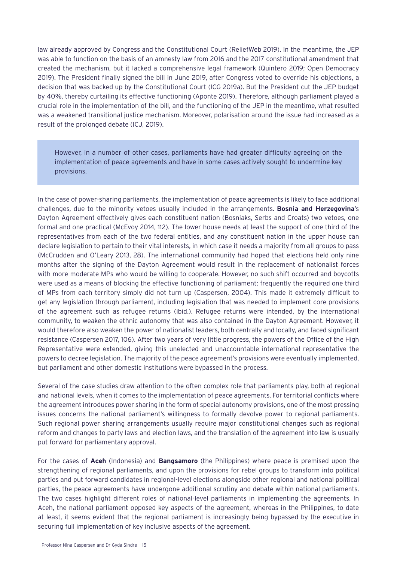law already approved by Congress and the Constitutional Court (ReliefWeb 2019). In the meantime, the JEP was able to function on the basis of an amnesty law from 2016 and the 2017 constitutional amendment that created the mechanism, but it lacked a comprehensive legal framework (Quintero 2019; Open Democracy 2019). The President finally signed the bill in June 2019, after Congress voted to override his objections, a decision that was backed up by the Constitutional Court (ICG 2019a). But the President cut the JEP budget by 40%, thereby curtailing its effective functioning (Aponte 2019). Therefore, although parliament played a crucial role in the implementation of the bill, and the functioning of the JEP in the meantime, what resulted was a weakened transitional justice mechanism. Moreover, polarisation around the issue had increased as a result of the prolonged debate (ICJ, 2019).

However, in a number of other cases, parliaments have had greater difficulty agreeing on the implementation of peace agreements and have in some cases actively sought to undermine key provisions.

In the case of power-sharing parliaments, the implementation of peace agreements is likely to face additional challenges, due to the minority vetoes usually included in the arrangements. **Bosnia and Herzegovina**'s Dayton Agreement effectively gives each constituent nation (Bosniaks, Serbs and Croats) two vetoes, one formal and one practical (McEvoy 2014, 112). The lower house needs at least the support of one third of the representatives from each of the two federal entities, and any constituent nation in the upper house can declare legislation to pertain to their vital interests, in which case it needs a majority from all groups to pass (McCrudden and O'Leary 2013, 28). The international community had hoped that elections held only nine months after the signing of the Dayton Agreement would result in the replacement of nationalist forces with more moderate MPs who would be willing to cooperate. However, no such shift occurred and boycotts were used as a means of blocking the effective functioning of parliament; frequently the required one third of MPs from each territory simply did not turn up (Caspersen, 2004). This made it extremely difficult to get any legislation through parliament, including legislation that was needed to implement core provisions of the agreement such as refugee returns (ibid.). Refugee returns were intended, by the international community, to weaken the ethnic autonomy that was also contained in the Dayton Agreement. However, it would therefore also weaken the power of nationalist leaders, both centrally and locally, and faced significant resistance (Caspersen 2017, 106). After two years of very little progress, the powers of the Office of the High Representative were extended, giving this unelected and unaccountable international representative the powers to decree legislation. The majority of the peace agreement's provisions were eventually implemented, but parliament and other domestic institutions were bypassed in the process.

Several of the case studies draw attention to the often complex role that parliaments play, both at regional and national levels, when it comes to the implementation of peace agreements. For territorial conflicts where the agreement introduces power sharing in the form of special autonomy provisions, one of the most pressing issues concerns the national parliament's willingness to formally devolve power to regional parliaments. Such regional power sharing arrangements usually require major constitutional changes such as regional reform and changes to party laws and election laws, and the translation of the agreement into law is usually put forward for parliamentary approval.

For the cases of **Aceh** (Indonesia) and **Bangsamoro** (the Philippines) where peace is premised upon the strengthening of regional parliaments, and upon the provisions for rebel groups to transform into political parties and put forward candidates in regional-level elections alongside other regional and national political parties, the peace agreements have undergone additional scrutiny and debate within national parliaments. The two cases highlight different roles of national-level parliaments in implementing the agreements. In Aceh, the national parliament opposed key aspects of the agreement, whereas in the Philippines, to date at least, it seems evident that the regional parliament is increasingly being bypassed by the executive in securing full implementation of key inclusive aspects of the agreement.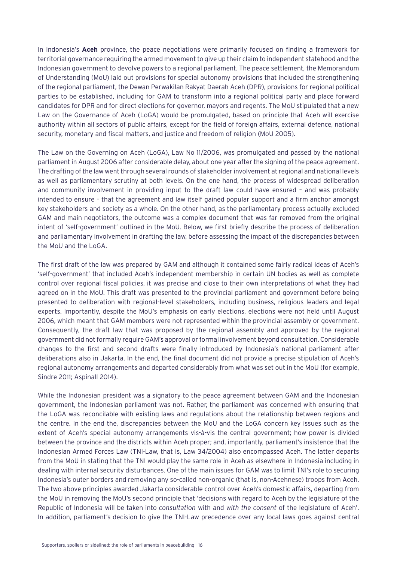In Indonesia's **Aceh** province, the peace negotiations were primarily focused on finding a framework for territorial governance requiring the armed movement to give up their claim to independent statehood and the Indonesian government to devolve powers to a regional parliament. The peace settlement, the Memorandum of Understanding (MoU) laid out provisions for special autonomy provisions that included the strengthening of the regional parliament, the Dewan Perwakilan Rakyat Daerah Aceh (DPR), provisions for regional political parties to be established, including for GAM to transform into a regional political party and place forward candidates for DPR and for direct elections for governor, mayors and regents. The MoU stipulated that a new Law on the Governance of Aceh (LoGA) would be promulgated, based on principle that Aceh will exercise authority within all sectors of public affairs, except for the field of foreign affairs, external defence, national security, monetary and fiscal matters, and justice and freedom of religion (MoU 2005).

The Law on the Governing on Aceh (LoGA), Law No 11/2006, was promulgated and passed by the national parliament in August 2006 after considerable delay, about one year after the signing of the peace agreement. The drafting of the law went through several rounds of stakeholder involvement at regional and national levels as well as parliamentary scrutiny at both levels. On the one hand, the process of widespread deliberation and community involvement in providing input to the draft law could have ensured – and was probably intended to ensure – that the agreement and law itself gained popular support and a firm anchor amongst key stakeholders and society as a whole. On the other hand, as the parliamentary process actually excluded GAM and main negotiators, the outcome was a complex document that was far removed from the original intent of 'self-government' outlined in the MoU. Below, we first briefly describe the process of deliberation and parliamentary involvement in drafting the law, before assessing the impact of the discrepancies between the MoU and the LoGA.

The first draft of the law was prepared by GAM and although it contained some fairly radical ideas of Aceh's 'self-government' that included Aceh's independent membership in certain UN bodies as well as complete control over regional fiscal policies, it was precise and close to their own interpretations of what they had agreed on in the MoU. This draft was presented to the provincial parliament and government before being presented to deliberation with regional-level stakeholders, including business, religious leaders and legal experts. Importantly, despite the MoU's emphasis on early elections, elections were not held until August 2006, which meant that GAM members were not represented within the provincial assembly or government. Consequently, the draft law that was proposed by the regional assembly and approved by the regional government did not formally require GAM's approval or formal involvement beyond consultation. Considerable changes to the first and second drafts were finally introduced by Indonesia's national parliament after deliberations also in Jakarta. In the end, the final document did not provide a precise stipulation of Aceh's regional autonomy arrangements and departed considerably from what was set out in the MoU (for example, Sindre 2011; Aspinall 2014).

While the Indonesian president was a signatory to the peace agreement between GAM and the Indonesian government, the Indonesian parliament was not. Rather, the parliament was concerned with ensuring that the LoGA was reconcilable with existing laws and regulations about the relationship between regions and the centre. In the end the, discrepancies between the MoU and the LoGA concern key issues such as the extent of Aceh's special autonomy arrangements vis-à-vis the central government; how power is divided between the province and the districts within Aceh proper; and, importantly, parliament's insistence that the Indonesian Armed Forces Law (TNI-Law, that is, Law 34/2004) also encompassed Aceh. The latter departs from the MoU in stating that the TNI would play the same role in Aceh as elsewhere in Indonesia including in dealing with internal security disturbances. One of the main issues for GAM was to limit TNI's role to securing Indonesia's outer borders and removing any so-called non-organic (that is, non-Acehnese) troops from Aceh. The two above principles awarded Jakarta considerable control over Aceh's domestic affairs, departing from the MoU in removing the MoU's second principle that 'decisions with regard to Aceh by the legislature of the Republic of Indonesia will be taken into *consultation* with and *with the consent* of the legislature of Aceh'. In addition, parliament's decision to give the TNI-Law precedence over any local laws goes against central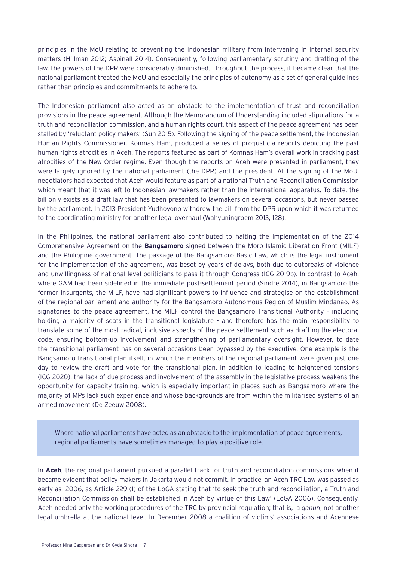principles in the MoU relating to preventing the Indonesian military from intervening in internal security matters (Hillman 2012; Aspinall 2014). Consequently, following parliamentary scrutiny and drafting of the law, the powers of the DPR were considerably diminished. Throughout the process, it became clear that the national parliament treated the MoU and especially the principles of autonomy as a set of general guidelines rather than principles and commitments to adhere to.

The Indonesian parliament also acted as an obstacle to the implementation of trust and reconciliation provisions in the peace agreement. Although the Memorandum of Understanding included stipulations for a truth and reconciliation commission, and a human rights court, this aspect of the peace agreement has been stalled by 'reluctant policy makers' (Suh 2015). Following the signing of the peace settlement, the Indonesian Human Rights Commissioner, Komnas Ham, produced a series of pro-justicia reports depicting the past human rights atrocities in Aceh. The reports featured as part of Komnas Ham's overall work in tracking past atrocities of the New Order regime. Even though the reports on Aceh were presented in parliament, they were largely ignored by the national parliament (the DPR) and the president. At the signing of the MoU, negotiators had expected that Aceh would feature as part of a national Truth and Reconciliation Commission which meant that it was left to Indonesian lawmakers rather than the international apparatus. To date, the bill only exists as a draft law that has been presented to lawmakers on several occasions, but never passed by the parliament. In 2013 President Yudhoyono withdrew the bill from the DPR upon which it was returned to the coordinating ministry for another legal overhaul (Wahyuningroem 2013, 128).

In the Philippines, the national parliament also contributed to halting the implementation of the 2014 Comprehensive Agreement on the **Bangsamoro** signed between the Moro Islamic Liberation Front (MILF) and the Philippine government. The passage of the Bangsamoro Basic Law, which is the legal instrument for the implementation of the agreement, was beset by years of delays, both due to outbreaks of violence and unwillingness of national level politicians to pass it through Congress (ICG 2019b). In contrast to Aceh, where GAM had been sidelined in the immediate post-settlement period (Sindre 2014), in Bangsamoro the former insurgents, the MILF, have had significant powers to influence and strategise on the establishment of the regional parliament and authority for the Bangsamoro Autonomous Region of Muslim Mindanao. As signatories to the peace agreement, the MILF control the Bangsamoro Transitional Authority – including holding a majority of seats in the transitional legislature - and therefore has the main responsibility to translate some of the most radical, inclusive aspects of the peace settlement such as drafting the electoral code, ensuring bottom-up involvement and strengthening of parliamentary oversight. However, to date the transitional parliament has on several occasions been bypassed by the executive. One example is the Bangsamoro transitional plan itself, in which the members of the regional parliament were given just one day to review the draft and vote for the transitional plan. In addition to leading to heightened tensions (ICG 2020), the lack of due process and involvement of the assembly in the legislative process weakens the opportunity for capacity training, which is especially important in places such as Bangsamoro where the majority of MPs lack such experience and whose backgrounds are from within the militarised systems of an armed movement (De Zeeuw 2008).

Where national parliaments have acted as an obstacle to the implementation of peace agreements, regional parliaments have sometimes managed to play a positive role.

In **Aceh**, the regional parliament pursued a parallel track for truth and reconciliation commissions when it became evident that policy makers in Jakarta would not commit. In practice, an Aceh TRC Law was passed as early as 2006, as Article 229 (1) of the LoGA stating that 'to seek the truth and reconciliation, a Truth and Reconciliation Commission shall be established in Aceh by virtue of this Law' (LoGA 2006). Consequently, Aceh needed only the working procedures of the TRC by provincial regulation; that is, a *qanun*, not another legal umbrella at the national level. In December 2008 a coalition of victims' associations and Acehnese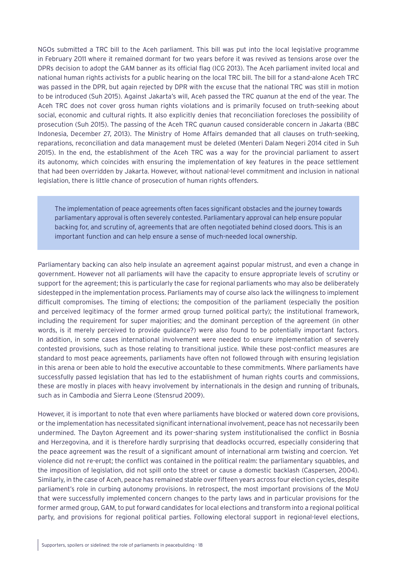NGOs submitted a TRC bill to the Aceh parliament. This bill was put into the local legislative programme in February 2011 where it remained dormant for two years before it was revived as tensions arose over the DPRs decision to adopt the GAM banner as its official flag (ICG 2013). The Aceh parliament invited local and national human rights activists for a public hearing on the local TRC bill. The bill for a stand-alone Aceh TRC was passed in the DPR, but again rejected by DPR with the excuse that the national TRC was still in motion to be introduced (Suh 2015). Against Jakarta's will, Aceh passed the TRC *quanun* at the end of the year. The Aceh TRC does not cover gross human rights violations and is primarily focused on truth-seeking about social, economic and cultural rights. It also explicitly denies that reconciliation forecloses the possibility of prosecution (Suh 2015). The passing of the Aceh TRC *quanun* caused considerable concern in Jakarta (BBC Indonesia, December 27, 2013). The Ministry of Home Affairs demanded that all clauses on truth-seeking, reparations, reconciliation and data management must be deleted (Menteri Dalam Negeri 2014 cited in Suh 2015). In the end, the establishment of the Aceh TRC was a way for the provincial parliament to assert its autonomy, which coincides with ensuring the implementation of key features in the peace settlement that had been overridden by Jakarta. However, without national-level commitment and inclusion in national legislation, there is little chance of prosecution of human rights offenders.

The implementation of peace agreements often faces significant obstacles and the journey towards parliamentary approval is often severely contested. Parliamentary approval can help ensure popular backing for, and scrutiny of, agreements that are often negotiated behind closed doors. This is an important function and can help ensure a sense of much-needed local ownership.

Parliamentary backing can also help insulate an agreement against popular mistrust, and even a change in government. However not all parliaments will have the capacity to ensure appropriate levels of scrutiny or support for the agreement; this is particularly the case for regional parliaments who may also be deliberately sidestepped in the implementation process. Parliaments may of course also lack the willingness to implement difficult compromises. The timing of elections; the composition of the parliament (especially the position and perceived legitimacy of the former armed group turned political party); the institutional framework, including the requirement for super majorities; and the dominant perception of the agreement (in other words, is it merely perceived to provide guidance?) were also found to be potentially important factors. In addition, in some cases international involvement were needed to ensure implementation of severely contested provisions, such as those relating to transitional justice. While these post-conflict measures are standard to most peace agreements, parliaments have often not followed through with ensuring legislation in this arena or been able to hold the executive accountable to these commitments. Where parliaments have successfully passed legislation that has led to the establishment of human rights courts and commissions, these are mostly in places with heavy involvement by internationals in the design and running of tribunals, such as in Cambodia and Sierra Leone (Stensrud 2009).

However, it is important to note that even where parliaments have blocked or watered down core provisions, or the implementation has necessitated significant international involvement, peace has not necessarily been undermined. The Dayton Agreement and its power-sharing system institutionalised the conflict in Bosnia and Herzegovina, and it is therefore hardly surprising that deadlocks occurred, especially considering that the peace agreement was the result of a significant amount of international arm twisting and coercion. Yet violence did not re-erupt; the conflict was contained in the political realm: the parliamentary squabbles, and the imposition of legislation, did not spill onto the street or cause a domestic backlash (Caspersen, 2004). Similarly, in the case of Aceh, peace has remained stable over fifteen years across four election cycles, despite parliament's role in curbing autonomy provisions. In retrospect, the most important provisions of the MoU that were successfully implemented concern changes to the party laws and in particular provisions for the former armed group, GAM, to put forward candidates for local elections and transform into a regional political party, and provisions for regional political parties. Following electoral support in regional-level elections,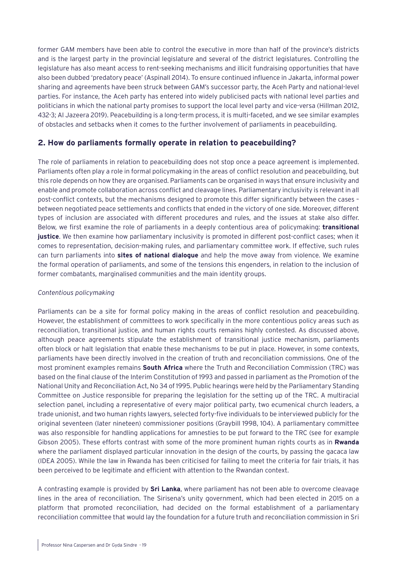<span id="page-18-0"></span>former GAM members have been able to control the executive in more than half of the province's districts and is the largest party in the provincial legislature and several of the district legislatures. Controlling the legislature has also meant access to rent-seeking mechanisms and illicit fundraising opportunities that have also been dubbed 'predatory peace' (Aspinall 2014). To ensure continued influence in Jakarta, informal power sharing and agreements have been struck between GAM's successor party, the Aceh Party and national-level parties. For instance, the Aceh party has entered into widely publicised pacts with national level parties and politicians in which the national party promises to support the local level party and vice-versa (Hillman 2012, 432-3; Al Jazeera 2019). Peacebuilding is a long-term process, it is multi-faceted, and we see similar examples of obstacles and setbacks when it comes to the further involvement of parliaments in peacebuilding.

## **2. How do parliaments formally operate in relation to peacebuilding?**

The role of parliaments in relation to peacebuilding does not stop once a peace agreement is implemented. Parliaments often play a role in formal policymaking in the areas of conflict resolution and peacebuilding, but this role depends on how they are organised. Parliaments can be organised in ways that ensure inclusivity and enable and promote collaboration across conflict and cleavage lines. Parliamentary inclusivity is relevant in all post-conflict contexts, but the mechanisms designed to promote this differ significantly between the cases – between negotiated peace settlements and conflicts that ended in the victory of one side. Moreover, different types of inclusion are associated with different procedures and rules, and the issues at stake also differ. Below, we first examine the role of parliaments in a deeply contentious area of policymaking: **transitional justice**. We then examine how parliamentary inclusivity is promoted in different post-conflict cases; when it comes to representation, decision-making rules, and parliamentary committee work. If effective, such rules can turn parliaments into **sites of national dialogue** and help the move away from violence. We examine the formal operation of parliaments, and some of the tensions this engenders, in relation to the inclusion of former combatants, marginalised communities and the main identity groups.

#### *Contentious policymaking*

Parliaments can be a site for formal policy making in the areas of conflict resolution and peacebuilding. However, the establishment of committees to work specifically in the more contentious policy areas such as reconciliation, transitional justice, and human rights courts remains highly contested. As discussed above, although peace agreements stipulate the establishment of transitional justice mechanism, parliaments often block or halt legislation that enable these mechanisms to be put in place. However, in some contexts, parliaments have been directly involved in the creation of truth and reconciliation commissions. One of the most prominent examples remains **South Africa** where the Truth and Reconciliation Commission (TRC) was based on the final clause of the Interim Constitution of 1993 and passed in parliament as the Promotion of the National Unity and Reconciliation Act, No 34 of 1995. Public hearings were held by the Parliamentary Standing Committee on Justice responsible for preparing the legislation for the setting up of the TRC. A multiracial selection panel, including a representative of every major political party, two ecumenical church leaders, a trade unionist, and two human rights lawyers, selected forty-five individuals to be interviewed publicly for the original seventeen (later nineteen) commissioner positions (Graybill 1998, 104). A parliamentary committee was also responsible for handling applications for amnesties to be put forward to the TRC (see for example Gibson 2005). These efforts contrast with some of the more prominent human rights courts as in **Rwanda** where the parliament displayed particular innovation in the design of the courts, by passing the gacaca law (IDEA 2005). While the law in Rwanda has been criticised for failing to meet the criteria for fair trials, it has been perceived to be legitimate and efficient with attention to the Rwandan context.

A contrasting example is provided by **Sri Lanka**, where parliament has not been able to overcome cleavage lines in the area of reconciliation. The Sirisena's unity government, which had been elected in 2015 on a platform that promoted reconciliation, had decided on the formal establishment of a parliamentary reconciliation committee that would lay the foundation for a future truth and reconciliation commission in Sri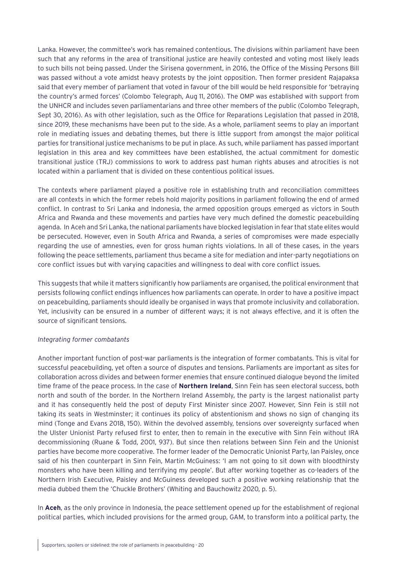Lanka. However, the committee's work has remained contentious. The divisions within parliament have been such that any reforms in the area of transitional justice are heavily contested and voting most likely leads to such bills not being passed. Under the Sirisena government, in 2016, the Office of the Missing Persons Bill was passed without a vote amidst heavy protests by the joint opposition. Then former president Rajapaksa said that every member of parliament that voted in favour of the bill would be held responsible for 'betraying the country's armed forces' (Colombo Telegraph, Aug 11, 2016). The OMP was established with support from the UNHCR and includes seven parliamentarians and three other members of the public (Colombo Telegraph, Sept 30, 2016). As with other legislation, such as the Office for Reparations Legislation that passed in 2018, since 2019, these mechanisms have been put to the side. As a whole, parliament seems to play an important role in mediating issues and debating themes, but there is little support from amongst the major political parties for transitional justice mechanisms to be put in place. As such, while parliament has passed important legislation in this area and key committees have been established, the actual commitment for domestic transitional justice (TRJ) commissions to work to address past human rights abuses and atrocities is not located within a parliament that is divided on these contentious political issues.

The contexts where parliament played a positive role in establishing truth and reconciliation committees are all contexts in which the former rebels hold majority positions in parliament following the end of armed conflict. In contrast to Sri Lanka and Indonesia, the armed opposition groups emerged as victors in South Africa and Rwanda and these movements and parties have very much defined the domestic peacebuilding agenda. In Aceh and Sri Lanka, the national parliaments have blocked legislation in fear that state elites would be persecuted. However, even in South Africa and Rwanda, a series of compromises were made especially regarding the use of amnesties, even for gross human rights violations. In all of these cases, in the years following the peace settlements, parliament thus became a site for mediation and inter-party negotiations on core conflict issues but with varying capacities and willingness to deal with core conflict issues.

This suggests that while it matters significantly how parliaments are organised, the political environment that persists following conflict endings influences how parliaments can operate. In order to have a positive impact on peacebuilding, parliaments should ideally be organised in ways that promote inclusivity and collaboration. Yet, inclusivity can be ensured in a number of different ways; it is not always effective, and it is often the source of significant tensions.

#### *Integrating former combatants*

Another important function of post-war parliaments is the integration of former combatants. This is vital for successful peacebuilding, yet often a source of disputes and tensions. Parliaments are important as sites for collaboration across divides and between former enemies that ensure continued dialogue beyond the limited time frame of the peace process. In the case of **Northern Ireland**, Sinn Fein has seen electoral success, both north and south of the border. In the Northern Ireland Assembly, the party is the largest nationalist party and it has consequently held the post of deputy First Minister since 2007. However, Sinn Fein is still not taking its seats in Westminster; it continues its policy of abstentionism and shows no sign of changing its mind (Tonge and Evans 2018, 150). Within the devolved assembly, tensions over sovereignty surfaced when the Ulster Unionist Party refused first to enter, then to remain in the executive with Sinn Fein without IRA decommissioning (Ruane & Todd, 2001, 937). But since then relations between Sinn Fein and the Unionist parties have become more cooperative. The former leader of the Democratic Unionist Party, Ian Paisley, once said of his then counterpart in Sinn Fein, Martin McGuiness: 'I am not going to sit down with bloodthirsty monsters who have been killing and terrifying my people'. But after working together as co-leaders of the Northern Irish Executive, Paisley and McGuiness developed such a positive working relationship that the media dubbed them the 'Chuckle Brothers' (Whiting and Bauchowitz 2020, p. 5).

In **Aceh**, as the only province in Indonesia, the peace settlement opened up for the establishment of regional political parties, which included provisions for the armed group, GAM, to transform into a political party, the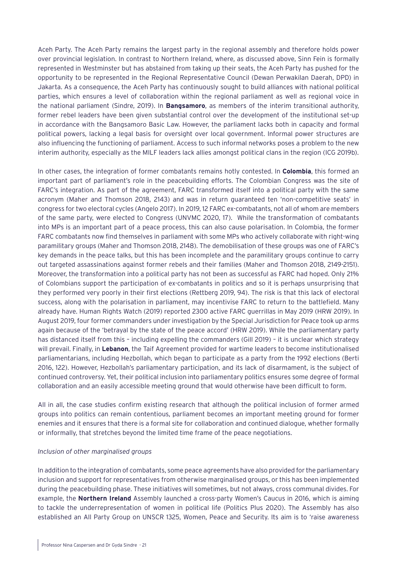Aceh Party. The Aceh Party remains the largest party in the regional assembly and therefore holds power over provincial legislation. In contrast to Northern Ireland, where, as discussed above, Sinn Fein is formally represented in Westminster but has abstained from taking up their seats, the Aceh Party has pushed for the opportunity to be represented in the Regional Representative Council (Dewan Perwakilan Daerah, DPD) in Jakarta. As a consequence, the Aceh Party has continuously sought to build alliances with national political parties, which ensures a level of collaboration within the regional parliament as well as regional voice in the national parliament (Sindre, 2019). In **Bangsamoro**, as members of the interim transitional authority, former rebel leaders have been given substantial control over the development of the institutional set-up in accordance with the Bangsamoro Basic Law. However, the parliament lacks both in capacity and formal political powers, lacking a legal basis for oversight over local government. Informal power structures are also influencing the functioning of parliament. Access to such informal networks poses a problem to the new interim authority, especially as the MILF leaders lack allies amongst political clans in the region (ICG 2019b).

In other cases, the integration of former combatants remains hotly contested. In **Colombia**, this formed an important part of parliament's role in the peacebuilding efforts. The Colombian Congress was the site of FARC's integration. As part of the agreement, FARC transformed itself into a political party with the same acronym (Maher and Thomson 2018, 2143) and was in return guaranteed ten 'non-competitive seats' in congress for two electoral cycles (Angelo 2017). In 2019, 12 FARC ex-combatants, not all of whom are members of the same party, were elected to Congress (UNVMC 2020, 17). While the transformation of combatants into MPs is an important part of a peace process, this can also cause polarisation. In Colombia, the former FARC combatants now find themselves in parliament with some MPs who actively collaborate with right-wing paramilitary groups (Maher and Thomson 2018, 2148). The demobilisation of these groups was one of FARC's key demands in the peace talks, but this has been incomplete and the paramilitary groups continue to carry out targeted assassinations against former rebels and their families (Maher and Thomson 2018, 2149-2151). Moreover, the transformation into a political party has not been as successful as FARC had hoped. Only 21% of Colombians support the participation of ex-combatants in politics and so it is perhaps unsurprising that they performed very poorly in their first elections (Rettberg 2019, 94). The risk is that this lack of electoral success, along with the polarisation in parliament, may incentivise FARC to return to the battlefield. Many already have. Human Rights Watch (2019) reported 2300 active FARC guerrillas in May 2019 (HRW 2019). In August 2019, four former commanders under investigation by the Special Jurisdiction for Peace took up arms again because of the 'betrayal by the state of the peace accord' (HRW 2019). While the parliamentary party has distanced itself from this - including expelling the commanders (Gill 2019) - it is unclear which strategy will prevail. Finally, in **Lebanon**, the Taif Agreement provided for wartime leaders to become institutionalised parliamentarians, including Hezbollah, which began to participate as a party from the 1992 elections (Berti 2016, 122). However, Hezbollah's parliamentary participation, and its lack of disarmament, is the subject of continued controversy. Yet, their political inclusion into parliamentary politics ensures some degree of formal collaboration and an easily accessible meeting ground that would otherwise have been difficult to form.

All in all, the case studies confirm existing research that although the political inclusion of former armed groups into politics can remain contentious, parliament becomes an important meeting ground for former enemies and it ensures that there is a formal site for collaboration and continued dialogue, whether formally or informally, that stretches beyond the limited time frame of the peace negotiations.

#### *Inclusion of other marginalised groups*

In addition to the integration of combatants, some peace agreements have also provided for the parliamentary inclusion and support for representatives from otherwise marginalised groups, or this has been implemented during the peacebuilding phase. These initiatives will sometimes, but not always, cross communal divides. For example, the **Northern Ireland** Assembly launched a cross-party Women's Caucus in 2016, which is aiming to tackle the underrepresentation of women in political life (Politics Plus 2020). The Assembly has also established an All Party Group on UNSCR 1325, Women, Peace and Security. Its aim is to 'raise awareness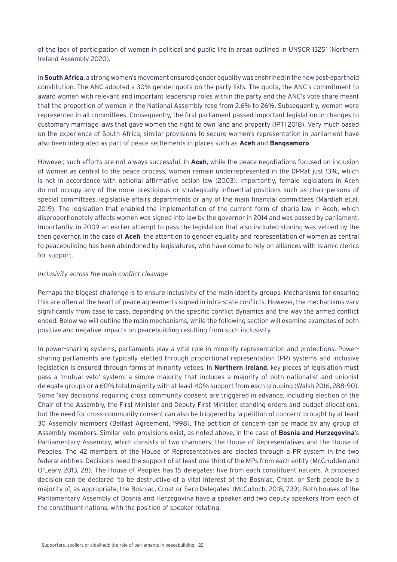of the lack of participation of women in political and public life in areas outlined in UNSCR 1325' (Northern Ireland Assembly 2020).

In **South Africa**, a strong women's movement ensured gender equality was enshrined in the new post-apartheid constitution. The ANC adopted a 30% gender quota on the party lists. The quota, the ANC's commitment to award women with relevant and important leadership roles within the party and the ANC's vote share meant that the proportion of women in the National Assembly rose from 2.6% to 26%. Subsequently, women were represented in all committees. Consequently, the first parliament passed important legislation in changes to customary marriage laws that gave women the right to own land and property (IPTI 2018). Very much based on the experience of South Africa, similar provisions to secure women's representation in parliament have also been integrated as part of peace settlements in places such as **Aceh** and **Bangsamoro**.

However, such efforts are not always successful. In **Aceh**, while the peace negotiations focused on inclusion of women as central to the peace process, women remain underrepresented in the DPRat just 13%, which is not in accordance with national affirmative action law (2003). Importantly, female legislators in Aceh do not occupy any of the more prestigious or strategically influential positions such as chair-persons of special committees, legislative affairs departments or any of the main financial committees (Mardiah et.al. 2019). The legislation that enabled the implementation of the current form of sharia law in Aceh, which disproportionately affects women was signed into law by the governor in 2014 and was passed by parliament. Importantly, in 2009 an earlier attempt to pass the legislation that also included stoning was vetoed by the then governor. In the case of **Aceh**, the attention to gender equality and representation of women as central to peacebuilding has been abandoned by legislatures, who have come to rely on alliances with Islamic clerics for support.

#### *Inclusivity across the main conflict cleavage*

Perhaps the biggest challenge is to ensure inclusivity of the main identity groups. Mechanisms for ensuring this are often at the heart of peace agreements signed in intra-state conflicts. However, the mechanisms vary significantly from case to case, depending on the specific conflict dynamics and the way the armed conflict ended. Below we will outline the main mechanisms, while the following section will examine examples of both positive and negative impacts on peacebuilding resulting from such inclusivity.

In power-sharing systems, parliaments play a vital role in minority representation and protections. Powersharing parliaments are typically elected through proportional representation (PR) systems and inclusive legislation is ensured through forms of minority vetoes. In **Northern Ireland**, key pieces of legislation must pass a 'mutual veto' system: a simple majority that includes a majority of both nationalist and unionist delegate groups or a 60% total majority with at least 40% support from each grouping (Walsh 2016, 288-90). Some 'key decisions' requiring cross-community consent are triggered in advance, including election of the Chair of the Assembly, the First Minister and Deputy First Minister, standing orders and budget allocations, but the need for cross-community consent can also be triggered by 'a petition of concern' brought by at least 30 Assembly members (Belfast Agreement, 1998). The petition of concern can be made by any group of Assembly members. Similar veto provisions exist, as noted above, in the case of **Bosnia and Herzegovina**'s Parliamentary Assembly, which consists of two chambers: the House of Representatives and the House of Peoples. The 42 members of the House of Representatives are elected through a PR system in the two federal entities. Decisions need the support of at least one third of the MPs from each entity (McCrudden and O'Leary 2013, 28). The House of Peoples has 15 delegates: five from each constituent nations. A proposed decision can be declared 'to be destructive of a vital interest of the Bosniac, Croat, or Serb people by a majority of, as appropriate, the Bosniac, Croat or Serb Delegates' (McCulloch, 2018, 739). Both houses of the Parliamentary Assembly of Bosnia and Herzegovina have a speaker and two deputy speakers from each of the constituent nations, with the position of speaker rotating.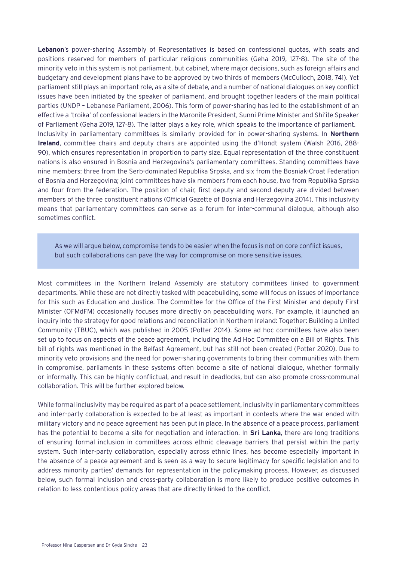**Lebanon**'s power-sharing Assembly of Representatives is based on confessional quotas, with seats and positions reserved for members of particular religious communities (Geha 2019, 127-8). The site of the minority veto in this system is not parliament, but cabinet, where major decisions, such as foreign affairs and budgetary and development plans have to be approved by two thirds of members (McCulloch, 2018, 741). Yet parliament still plays an important role, as a site of debate, and a number of national dialogues on key conflict issues have been initiated by the speaker of parliament, and brought together leaders of the main political parties (UNDP – Lebanese Parliament, 2006). This form of power-sharing has led to the establishment of an effective a 'troika' of confessional leaders in the Maronite President, Sunni Prime Minister and Shi'ite Speaker of Parliament (Geha 2019, 127-8). The latter plays a key role, which speaks to the importance of parliament. Inclusivity in parliamentary committees is similarly provided for in power-sharing systems. In **Northern Ireland**, committee chairs and deputy chairs are appointed using the d'Hondt system (Walsh 2016, 288- 90), which ensures representation in proportion to party size. Equal representation of the three constituent nations is also ensured in Bosnia and Herzegovina's parliamentary committees. Standing committees have nine members: three from the Serb-dominated Republika Srpska, and six from the Bosniak-Croat Federation of Bosnia and Herzegovina; joint committees have six members from each house, two from Republika Sprska and four from the federation. The position of chair, first deputy and second deputy are divided between members of the three constituent nations (Official Gazette of Bosnia and Herzegovina 2014). This inclusivity means that parliamentary committees can serve as a forum for inter-communal dialogue, although also sometimes conflict.

As we will argue below, compromise tends to be easier when the focus is not on core conflict issues, but such collaborations can pave the way for compromise on more sensitive issues.

Most committees in the Northern Ireland Assembly are statutory committees linked to government departments. While these are not directly tasked with peacebuilding, some will focus on issues of importance for this such as Education and Justice. The Committee for the Office of the First Minister and deputy First Minister (OFMdFM) occasionally focuses more directly on peacebuilding work. For example, it launched an inquiry into the strategy for good relations and reconciliation in Northern Ireland: Together: Building a United Community (TBUC), which was published in 2005 (Potter 2014). Some ad hoc committees have also been set up to focus on aspects of the peace agreement, including the Ad Hoc Committee on a Bill of Rights. This bill of rights was mentioned in the Belfast Agreement, but has still not been created (Potter 2020). Due to minority veto provisions and the need for power-sharing governments to bring their communities with them in compromise, parliaments in these systems often become a site of national dialogue, whether formally or informally. This can be highly conflictual, and result in deadlocks, but can also promote cross-communal collaboration. This will be further explored below.

While formal inclusivity may be required as part of a peace settlement, inclusivity in parliamentary committees and inter-party collaboration is expected to be at least as important in contexts where the war ended with military victory and no peace agreement has been put in place. In the absence of a peace process, parliament has the potential to become a site for negotiation and interaction. In **Sri Lanka**, there are long traditions of ensuring formal inclusion in committees across ethnic cleavage barriers that persist within the party system. Such inter-party collaboration, especially across ethnic lines, has become especially important in the absence of a peace agreement and is seen as a way to secure legitimacy for specific legislation and to address minority parties' demands for representation in the policymaking process. However, as discussed below, such formal inclusion and cross-party collaboration is more likely to produce positive outcomes in relation to less contentious policy areas that are directly linked to the conflict.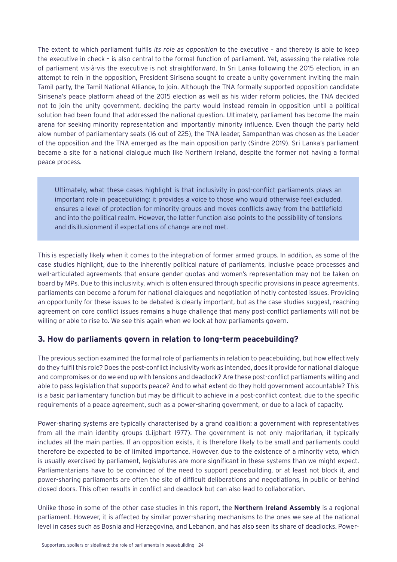<span id="page-23-0"></span>The extent to which parliament fulfils *its role as opposition* to the executive – and thereby is able to keep the executive in check – is also central to the formal function of parliament. Yet, assessing the relative role of parliament vis-à-vis the executive is not straightforward. In Sri Lanka following the 2015 election, in an attempt to rein in the opposition, President Sirisena sought to create a unity government inviting the main Tamil party, the Tamil National Alliance, to join. Although the TNA formally supported opposition candidate Sirisena's peace platform ahead of the 2015 election as well as his wider reform policies, the TNA decided not to join the unity government, deciding the party would instead remain in opposition until a political solution had been found that addressed the national question. Ultimately, parliament has become the main arena for seeking minority representation and importantly minority influence. Even though the party held alow number of parliamentary seats (16 out of 225), the TNA leader, Sampanthan was chosen as the Leader of the opposition and the TNA emerged as the main opposition party (Sindre 2019). Sri Lanka's parliament became a site for a national dialogue much like Northern Ireland, despite the former not having a formal peace process.

Ultimately, what these cases highlight is that inclusivity in post-conflict parliaments plays an important role in peacebuilding: it provides a voice to those who would otherwise feel excluded, ensures a level of protection for minority groups and moves conflicts away from the battlefield and into the political realm. However, the latter function also points to the possibility of tensions and disillusionment if expectations of change are not met.

This is especially likely when it comes to the integration of former armed groups. In addition, as some of the case studies highlight, due to the inherently political nature of parliaments, inclusive peace processes and well-articulated agreements that ensure gender quotas and women's representation may not be taken on board by MPs. Due to this inclusivity, which is often ensured through specific provisions in peace agreements, parliaments can become a forum for national dialogues and negotiation of hotly contested issues. Providing an opportunity for these issues to be debated is clearly important, but as the case studies suggest, reaching agreement on core conflict issues remains a huge challenge that many post-conflict parliaments will not be willing or able to rise to. We see this again when we look at how parliaments govern.

## **3. How do parliaments govern in relation to long-term peacebuilding?**

The previous section examined the formal role of parliaments in relation to peacebuilding, but how effectively do they fulfil this role? Does the post-conflict inclusivity work as intended, does it provide for national dialogue and compromises or do we end up with tensions and deadlock? Are these post-conflict parliaments willing and able to pass legislation that supports peace? And to what extent do they hold government accountable? This is a basic parliamentary function but may be difficult to achieve in a post-conflict context, due to the specific requirements of a peace agreement, such as a power-sharing government, or due to a lack of capacity.

Power-sharing systems are typically characterised by a grand coalition: a government with representatives from all the main identity groups (Lijphart 1977). The government is not only majoritarian, it typically includes all the main parties. If an opposition exists, it is therefore likely to be small and parliaments could therefore be expected to be of limited importance. However, due to the existence of a minority veto, which is usually exercised by parliament, legislatures are more significant in these systems than we might expect. Parliamentarians have to be convinced of the need to support peacebuilding, or at least not block it, and power-sharing parliaments are often the site of difficult deliberations and negotiations, in public or behind closed doors. This often results in conflict and deadlock but can also lead to collaboration.

Unlike those in some of the other case studies in this report, the **Northern Ireland Assembly** is a regional parliament. However, it is affected by similar power-sharing mechanisms to the ones we see at the national level in cases such as Bosnia and Herzegovina, and Lebanon, and has also seen its share of deadlocks. Power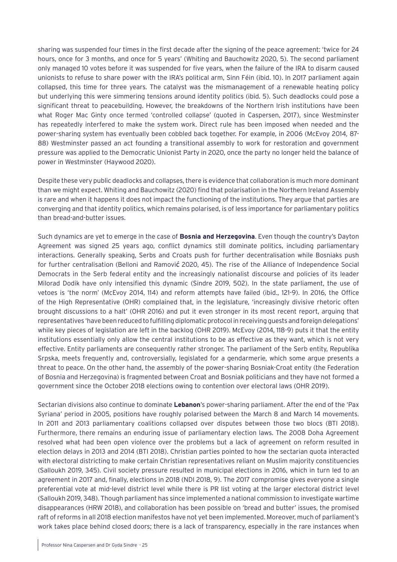sharing was suspended four times in the first decade after the signing of the peace agreement: 'twice for 24 hours, once for 3 months, and once for 5 years' (Whiting and Bauchowitz 2020, 5). The second parliament only managed 10 votes before it was suspended for five years, when the failure of the IRA to disarm caused unionists to refuse to share power with the IRA's political arm, Sinn Féin (ibid. 10). In 2017 parliament again collapsed, this time for three years. The catalyst was the mismanagement of a renewable heating policy but underlying this were simmering tensions around identity politics (ibid. 5). Such deadlocks could pose a significant threat to peacebuilding. However, the breakdowns of the Northern Irish institutions have been what Roger Mac Ginty once termed 'controlled collapse' (quoted in Caspersen, 2017), since Westminster has repeatedly interfered to make the system work. Direct rule has been imposed when needed and the power-sharing system has eventually been cobbled back together. For example, in 2006 (McEvoy 2014, 87- 88) Westminster passed an act founding a transitional assembly to work for restoration and government pressure was applied to the Democratic Unionist Party in 2020, once the party no longer held the balance of power in Westminster (Haywood 2020).

Despite these very public deadlocks and collapses, there is evidence that collaboration is much more dominant than we might expect. Whiting and Bauchowitz (2020) find that polarisation in the Northern Ireland Assembly is rare and when it happens it does not impact the functioning of the institutions. They argue that parties are converging and that identity politics, which remains polarised, is of less importance for parliamentary politics than bread-and-butter issues.

Such dynamics are yet to emerge in the case of **Bosnia and Herzegovina**. Even though the country's Dayton Agreement was signed 25 years ago, conflict dynamics still dominate politics, including parliamentary interactions. Generally speaking, Serbs and Croats push for further decentralisation while Bosniaks push for further centralisation (Belloni and Ramović 2020, 45). The rise of the Alliance of Independence Social Democrats in the Serb federal entity and the increasingly nationalist discourse and policies of its leader Milorad Dodik have only intensified this dynamic (Sindre 2019, 502). In the state parliament, the use of vetoes is 'the norm' (McEvoy 2014, 114) and reform attempts have failed (ibid., 121-9). In 2016, the Office of the High Representative (OHR) complained that, in the legislature, 'increasingly divisive rhetoric often brought discussions to a halt' (OHR 2016) and put it even stronger in its most recent report, arguing that representatives 'have been reduced to fulfilling diplomatic protocol in receiving guests and foreign delegations' while key pieces of legislation are left in the backlog (OHR 2019). McEvoy (2014, 118-9) puts it that the entity institutions essentially only allow the central institutions to be as effective as they want, which is not very effective. Entity parliaments are consequently rather stronger. The parliament of the Serb entity, Republika Srpska, meets frequently and, controversially, legislated for a gendarmerie, which some argue presents a threat to peace. On the other hand, the assembly of the power-sharing Bosniak-Croat entity (the Federation of Bosnia and Herzegovina) is fragmented between Croat and Bosniak politicians and they have not formed a government since the October 2018 elections owing to contention over electoral laws (OHR 2019).

Sectarian divisions also continue to dominate **Lebanon**'s power-sharing parliament. After the end of the 'Pax Syriana' period in 2005, positions have roughly polarised between the March 8 and March 14 movements. In 2011 and 2013 parliamentary coalitions collapsed over disputes between those two blocs (BTI 2018). Furthermore, there remains an enduring issue of parliamentary election laws. The 2008 Doha Agreement resolved what had been open violence over the problems but a lack of agreement on reform resulted in election delays in 2013 and 2014 (BTI 2018). Christian parties pointed to how the sectarian quota interacted with electoral districting to make certain Christian representatives reliant on Muslim majority constituencies (Salloukh 2019, 345). Civil society pressure resulted in municipal elections in 2016, which in turn led to an agreement in 2017 and, finally, elections in 2018 (NDI 2018, 9). The 2017 compromise gives everyone a single preferential vote at mid-level district level while there is PR list voting at the larger electoral district level (Salloukh 2019, 348). Though parliament has since implemented a national commission to investigate wartime disappearances (HRW 2018), and collaboration has been possible on 'bread and butter' issues, the promised raft of reforms in all 2018 election manifestos have not yet been implemented. Moreover, much of parliament's work takes place behind closed doors; there is a lack of transparency, especially in the rare instances when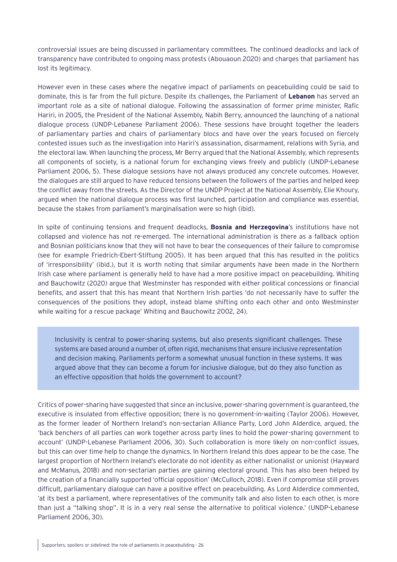controversial issues are being discussed in parliamentary committees. The continued deadlocks and lack of transparency have contributed to ongoing mass protests (Abouaoun 2020) and charges that parliament has lost its legitimacy.

However even in these cases where the negative impact of parliaments on peacebuilding could be said to dominate, this is far from the full picture. Despite its challenges, the Parliament of **Lebanon** has served an important role as a site of national dialogue. Following the assassination of former prime minister, Rafic Hariri, in 2005, the President of the National Assembly, Nabih Berry, announced the launching of a national dialogue process (UNDP-Lebanese Parliament 2006). These sessions have brought together the leaders of parliamentary parties and chairs of parliamentary blocs and have over the years focused on fiercely contested issues such as the investigation into Hariri's assassination, disarmament, relations with Syria, and the electoral law. When launching the process, Mr Berry argued that the National Assembly, which represents all components of society, is a national forum for exchanging views freely and publicly (UNDP-Lebanese Parliament 2006, 5). These dialogue sessions have not always produced any concrete outcomes. However, the dialogues are still argued to have reduced tensions between the followers of the parties and helped keep the conflict away from the streets. As the Director of the UNDP Project at the National Assembly, Elie Khoury, argued when the national dialogue process was first launched, participation and compliance was essential, because the stakes from parliament's marginalisation were so high (ibid).

In spite of continuing tensions and frequent deadlocks, **Bosnia and Herzegovina**'s institutions have not collapsed and violence has not re-emerged. The international administration is there as a fallback option and Bosnian politicians know that they will not have to bear the consequences of their failure to compromise (see for example Friedrich-Ebert-Stiftung 2005). It has been argued that this has resulted in the politics of 'irresponsibility' (ibid.), but it is worth noting that similar arguments have been made in the Northern Irish case where parliament is generally held to have had a more positive impact on peacebuilding. Whiting and Bauchowitz (2020) argue that Westminster has responded with either political concessions or financial benefits, and assert that this has meant that Northern Irish parties 'do not necessarily have to suffer the consequences of the positions they adopt, instead blame shifting onto each other and onto Westminster while waiting for a rescue package' Whiting and Bauchowitz 2002, 24).

Inclusivity is central to power-sharing systems, but also presents significant challenges. These systems are based around a number of, often rigid, mechanisms that ensure inclusive representation and decision making. Parliaments perform a somewhat unusual function in these systems. It was argued above that they can become a forum for inclusive dialogue, but do they also function as an effective opposition that holds the government to account?

Critics of power-sharing have suggested that since an inclusive, power-sharing government is guaranteed, the executive is insulated from effective opposition; there is no government-in-waiting (Taylor 2006). However, as the former leader of Northern Ireland's non-sectarian Alliance Party, Lord John Alderdice, argued, the 'back benchers of all parties can work together across party lines to hold the power-sharing government to account' (UNDP-Lebanese Parliament 2006, 30). Such collaboration is more likely on non-conflict issues, but this can over time help to change the dynamics. In Northern Ireland this does appear to be the case. The largest proportion of Northern Ireland's electorate do not identity as either nationalist or unionist (Hayward and McManus, 2018) and non-sectarian parties are gaining electoral ground. This has also been helped by the creation of a financially supported 'official opposition' (McCulloch, 2018). Even if compromise still proves difficult, parliamentary dialogue can have a positive effect on peacebuilding. As Lord Alderdice commented, 'at its best a parliament, where representatives of the community talk and also listen to each other, is more than just a "talking shop". It is in a very real sense the alternative to political violence.' (UNDP-Lebanese Parliament 2006, 30).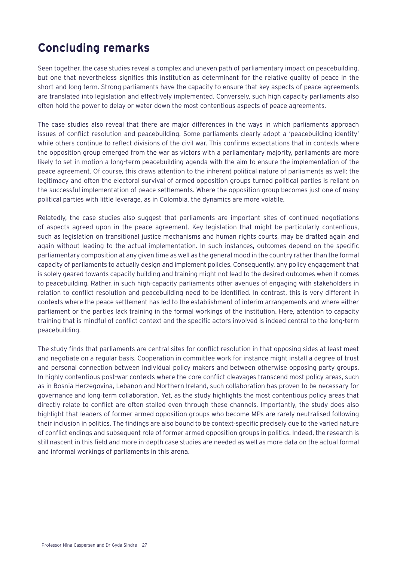## <span id="page-26-0"></span>**Concluding remarks**

Seen together, the case studies reveal a complex and uneven path of parliamentary impact on peacebuilding, but one that nevertheless signifies this institution as determinant for the relative quality of peace in the short and long term. Strong parliaments have the capacity to ensure that key aspects of peace agreements are translated into legislation and effectively implemented. Conversely, such high capacity parliaments also often hold the power to delay or water down the most contentious aspects of peace agreements.

The case studies also reveal that there are major differences in the ways in which parliaments approach issues of conflict resolution and peacebuilding. Some parliaments clearly adopt a 'peacebuilding identity' while others continue to reflect divisions of the civil war. This confirms expectations that in contexts where the opposition group emerged from the war as victors with a parliamentary majority, parliaments are more likely to set in motion a long-term peacebuilding agenda with the aim to ensure the implementation of the peace agreement. Of course, this draws attention to the inherent political nature of parliaments as well: the legitimacy and often the electoral survival of armed opposition groups turned political parties is reliant on the successful implementation of peace settlements. Where the opposition group becomes just one of many political parties with little leverage, as in Colombia, the dynamics are more volatile.

Relatedly, the case studies also suggest that parliaments are important sites of continued negotiations of aspects agreed upon in the peace agreement. Key legislation that might be particularly contentious, such as legislation on transitional justice mechanisms and human rights courts, may be drafted again and again without leading to the actual implementation. In such instances, outcomes depend on the specific parliamentary composition at any given time as well as the general mood in the country rather than the formal capacity of parliaments to actually design and implement policies. Consequently, any policy engagement that is solely geared towards capacity building and training might not lead to the desired outcomes when it comes to peacebuilding. Rather, in such high-capacity parliaments other avenues of engaging with stakeholders in relation to conflict resolution and peacebuilding need to be identified. In contrast, this is very different in contexts where the peace settlement has led to the establishment of interim arrangements and where either parliament or the parties lack training in the formal workings of the institution. Here, attention to capacity training that is mindful of conflict context and the specific actors involved is indeed central to the long-term peacebuilding.

The study finds that parliaments are central sites for conflict resolution in that opposing sides at least meet and negotiate on a regular basis. Cooperation in committee work for instance might install a degree of trust and personal connection between individual policy makers and between otherwise opposing party groups. In highly contentious post-war contexts where the core conflict cleavages transcend most policy areas, such as in Bosnia Herzegovina, Lebanon and Northern Ireland, such collaboration has proven to be necessary for governance and long-term collaboration. Yet, as the study highlights the most contentious policy areas that directly relate to conflict are often stalled even through these channels. Importantly, the study does also highlight that leaders of former armed opposition groups who become MPs are rarely neutralised following their inclusion in politics. The findings are also bound to be context-specific precisely due to the varied nature of conflict endings and subsequent role of former armed opposition groups in politics. Indeed, the research is still nascent in this field and more in-depth case studies are needed as well as more data on the actual formal and informal workings of parliaments in this arena.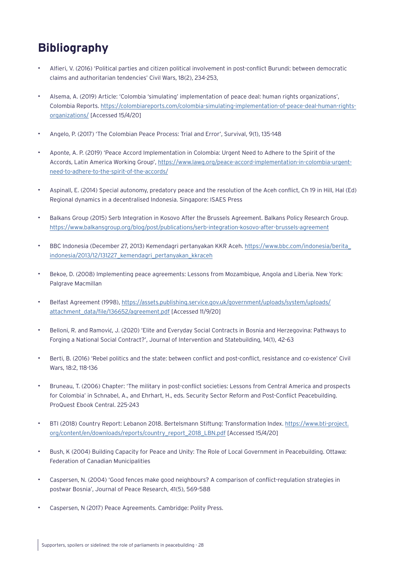# <span id="page-27-0"></span>**Bibliography**

- Alfieri, V. (2016) 'Political parties and citizen political involvement in post-conflict Burundi: between democratic claims and authoritarian tendencies' Civil Wars, 18(2), 234-253,
- Alsema, A. (2019) Article: 'Colombia 'simulating' implementation of peace deal: human rights organizations', Colombia Reports. [https://colombiareports.com/colombia-simulating-implementation-of-peace-deal-human-rights](https://colombiareports.com/colombia-simulating-implementation-of-peace-deal-human-rights-organizati)[organizations/](https://colombiareports.com/colombia-simulating-implementation-of-peace-deal-human-rights-organizati) [Accessed 15/4/20]
- Angelo, P. (2017) 'The Colombian Peace Process: Trial and Error', Survival, 9(1), 135-148
- Aponte, A. P. (2019) 'Peace Accord Implementation in Colombia: Urgent Need to Adhere to the Spirit of the Accords, Latin America Working Group', [https://www.lawg.org/peace-accord-implementation-in-colombia-urgent](https://www.lawg.org/peace-accord-implementation-in-colombia-urgent-need-to-adhere-to-the-spirit-of-)[need-to-adhere-to-the-spirit-of-the-accords/](https://www.lawg.org/peace-accord-implementation-in-colombia-urgent-need-to-adhere-to-the-spirit-of-)
- Aspinall, E. (2014) Special autonomy, predatory peace and the resolution of the Aceh conflict, Ch 19 in Hill, Hal (Ed) Regional dynamics in a decentralised Indonesia. Singapore: ISAES Press
- Balkans Group (2015) Serb Integration in Kosovo After the Brussels Agreement. Balkans Policy Research Group. <https://www.balkansgroup.org/blog/post/publications/serb-integration-kosovo-after-brussels-agreement>
- BBC Indonesia (December 27, 2013) Kemendagri pertanyakan KKR Aceh. [https://www.bbc.com/indonesia/berita\\_](https://www.bbc.com/indonesia/berita_indonesia/2013/12/131227_kemendagri_pertanyakan_kkraceh) [indonesia/2013/12/131227\\_kemendagri\\_pertanyakan\\_kkraceh](https://www.bbc.com/indonesia/berita_indonesia/2013/12/131227_kemendagri_pertanyakan_kkraceh)
- Bekoe, D. (2008) Implementing peace agreements: Lessons from Mozambique, Angola and Liberia. New York: Palgrave Macmillan
- Belfast Agreement (1998), [https://assets.publishing.service.gov.uk/government/uploads/system/uploads/](https://assets.publishing.service.gov.uk/government/uploads/system/uploads/attachment_data/file/136652/agreement.pdf) [attachment\\_data/file/136652/agreement.pdf](https://assets.publishing.service.gov.uk/government/uploads/system/uploads/attachment_data/file/136652/agreement.pdf) [Accessed 11/9/20]
- Belloni, R. and Ramović, J. (2020) 'Elite and Everyday Social Contracts in Bosnia and Herzegovina: Pathways to Forging a National Social Contract?', Journal of Intervention and Statebuilding, 14(1), 42-63
- Berti, B. (2016) 'Rebel politics and the state: between conflict and post-conflict, resistance and co-existence' Civil Wars, 18:2, 118-136
- Bruneau, T. (2006) Chapter: 'The military in post-conflict societies: Lessons from Central America and prospects for Colombia' in Schnabel, A., and Ehrhart, H., eds. Security Sector Reform and Post-Conflict Peacebuilding. ProQuest Ebook Central. 225-243
- BTI (2018) Country Report: Lebanon 2018. Bertelsmann Stiftung: Transformation Index. [https://www.bti-project.](https://www.bti-project.org/content/en/downloads/reports/country_report_2018_LBN.pdf) [org/content/en/downloads/reports/country\\_report\\_2018\\_LBN.pdf](https://www.bti-project.org/content/en/downloads/reports/country_report_2018_LBN.pdf) [Accessed 15/4/20]
- Bush, K (2004) Building Capacity for Peace and Unity: The Role of Local Government in Peacebuilding. Ottawa: Federation of Canadian Municipalities
- Caspersen, N. (2004) 'Good fences make good neighbours? A comparison of conflict-regulation strategies in postwar Bosnia', Journal of Peace Research, 41(5), 569-588
- Caspersen, N (2017) Peace Agreements. Cambridge: Polity Press.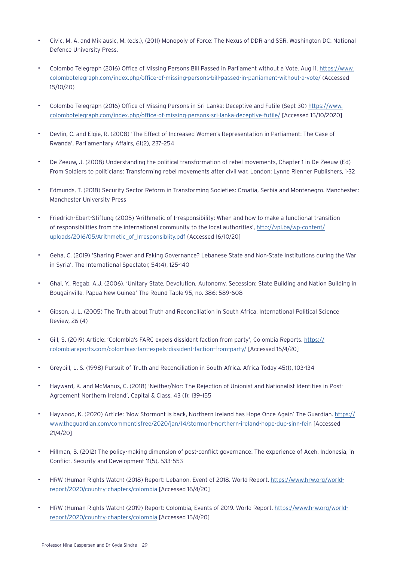- Civic, M. A. and Miklausic, M. (eds.), (2011) Monopoly of Force: The Nexus of DDR and SSR. Washington DC: National Defence University Press.
- Colombo Telegraph (2016) Office of Missing Persons Bill Passed in Parliament without a Vote. Aug 11. [https://www.](https://www.colombotelegraph.com/index.php/office-of-missing-persons-bill-passed-in-parliament-without-a-vote/) [colombotelegraph.com/index.php/office-of-missing-persons-bill-passed-in-parliament-without-a-vote/](https://www.colombotelegraph.com/index.php/office-of-missing-persons-bill-passed-in-parliament-without-a-vote/) (Accessed 15/10/20)
- Colombo Telegraph (2016) Office of Missing Persons in Sri Lanka: Deceptive and Futile (Sept 30) [https://www.](https://www.colombotelegraph.com/index.php/office-of-missing-persons-sri-lanka-deceptive-futile/) [colombotelegraph.com/index.php/office-of-missing-persons-sri-lanka-deceptive-futile/](https://www.colombotelegraph.com/index.php/office-of-missing-persons-sri-lanka-deceptive-futile/) [Accessed 15/10/2020]
- Devlin, C. and Elgie, R. (2008) 'The Effect of Increased Women's Representation in Parliament: The Case of Rwanda', Parliamentary Affairs, 61(2), 237–254
- De Zeeuw, J. (2008) Understanding the political transformation of rebel movements, Chapter 1 in De Zeeuw (Ed) From Soldiers to politicians: Transforming rebel movements after civil war. London: Lynne Rienner Publishers, 1-32
- Edmunds, T. (2018) Security Sector Reform in Transforming Societies: Croatia, Serbia and Montenegro. Manchester: Manchester University Press
- Friedrich-Ebert-Stiftung (2005) 'Arithmetic of Irresponsibility: When and how to make a functional transition of responsibilities from the international community to the local authorities', [http://vpi.ba/wp-content/](http://vpi.ba/wp-content/uploads/2016/05/Arithmetic_of_Irresponsiblity.pdf) [uploads/2016/05/Arithmetic\\_of\\_Irresponsiblity.pdf](http://vpi.ba/wp-content/uploads/2016/05/Arithmetic_of_Irresponsiblity.pdf) {Accessed 16/10/20]
- Geha, C. (2019) 'Sharing Power and Faking Governance? Lebanese State and Non-State Institutions during the War in Syria', The International Spectator, 54(4), 125-140
- Ghai, Y., Regab, A.J. (2006). 'Unitary State, Devolution, Autonomy, Secession: State Building and Nation Building in Bougainville, Papua New Guinea' The Round Table 95, no. 386: 589-608
- Gibson, J. L. (2005) The Truth about Truth and Reconciliation in South Africa, International Political Science Review, 26 (4)
- Gill, S. (2019) Article: 'Colombia's FARC expels dissident faction from party', Colombia Reports. [https://](https://colombiareports.com/colombias-farc-expels-dissident-faction-from-party/) [colombiareports.com/colombias-farc-expels-dissident-faction-from-party/](https://colombiareports.com/colombias-farc-expels-dissident-faction-from-party/) [Accessed 15/4/20]
- Greybill, L. S. (1998) Pursuit of Truth and Reconciliation in South Africa. Africa Today 45(1), 103-134
- Hayward, K. and McManus, C. (2018) 'Neither/Nor: The Rejection of Unionist and Nationalist Identities in Post-Agreement Northern Ireland', Capital & Class, 43 (1): 139–155
- Haywood, K. (2020) Article: 'Now Stormont is back, Northern Ireland has Hope Once Again' The Guardian. [https://](https://www.theguardian.com/commentisfree/2020/jan/14/stormont-northern-ireland-hope-dup-sinn-fein) [www.theguardian.com/commentisfree/2020/jan/14/stormont-northern-ireland-hope-dup-sinn-fein](https://www.theguardian.com/commentisfree/2020/jan/14/stormont-northern-ireland-hope-dup-sinn-fein) [Accessed 21/4/20]
- Hillman, B. (2012) The policy-making dimension of post-conflict governance: The experience of Aceh, Indonesia, in Conflict, Security and Development 11(5), 533-553
- HRW (Human Rights Watch) (2018) Report: Lebanon, Event of 2018. World Report. [https://www.hrw.org/world](https://www.hrw.org/world-report/2020/country-chapters/colombia)[report/2020/country-chapters/colombia](https://www.hrw.org/world-report/2020/country-chapters/colombia) [Accessed 16/4/20]
- HRW (Human Rights Watch) (2019) Report: Colombia, Events of 2019. World Report. [https://www.hrw.org/world](https://www.hrw.org/world-report/2020/country-chapters/colombia)[report/2020/country-chapters/colombia](https://www.hrw.org/world-report/2020/country-chapters/colombia) [Accessed 15/4/20]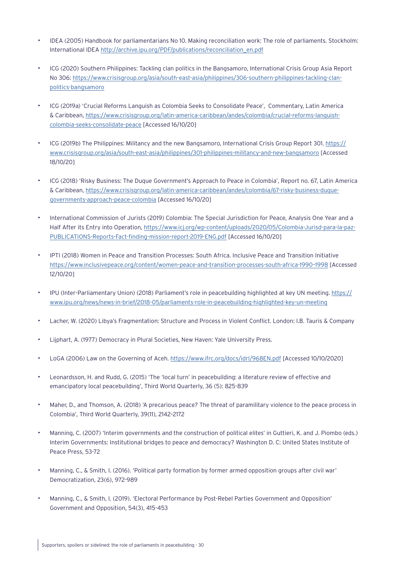- IDEA (2005) Handbook for parliamentarians No 10. Making reconciliation work: The role of parliaments. Stockholm: International IDEA [http://archive.ipu.org/PDF/publications/reconciliation\\_en.pdf](http://archive.ipu.org/PDF/publications/reconciliation_en.pdf)
- ICG (2020) Southern Philippines: Tackling clan politics in the Bangsamoro, International Crisis Group Asia Report No 306: [https://www.crisisgroup.org/asia/south-east-asia/philippines/306-southern-philippines-tackling-clan](https://www.crisisgroup.org/asia/south-east-asia/philippines/306-southern-philippines-tackling-clan-politics-bangsamoro)[politics-bangsamoro](https://www.crisisgroup.org/asia/south-east-asia/philippines/306-southern-philippines-tackling-clan-politics-bangsamoro)
- ICG (2019a) 'Crucial Reforms Languish as Colombia Seeks to Consolidate Peace', Commentary, Latin America & Caribbean, [https://www.crisisgroup.org/latin-america-caribbean/andes/colombia/crucial-reforms-languish](https://www.crisisgroup.org/latin-america-caribbean/andes/colombia/crucial-reforms-languish-colombia-seeks-consolidate-peace)[colombia-seeks-consolidate-peace](https://www.crisisgroup.org/latin-america-caribbean/andes/colombia/crucial-reforms-languish-colombia-seeks-consolidate-peace) [Accessed 16/10/20]
- ICG (2019b) The Philippines: Militancy and the new Bangsamoro, International Crisis Group Report 301. [https://](https://www.crisisgroup.org/asia/south-east-asia/philippines/301-philippines-militancy-and-new-bangsamoro) [www.crisisgroup.org/asia/south-east-asia/philippines/301-philippines-militancy-and-new-bangsamoro](https://www.crisisgroup.org/asia/south-east-asia/philippines/301-philippines-militancy-and-new-bangsamoro) [Accessed 18/10/20]
- ICG (2018) 'Risky Business: The Duque Government's Approach to Peace in Colombia', Report no. 67, Latin America & Caribbean, [https://www.crisisgroup.org/latin-america-caribbean/andes/colombia/67-risky-business-duque](https://www.crisisgroup.org/latin-america-caribbean/andes/colombia/67-risky-business-duque-governments-approach-peace-colombia)[governments-approach-peace-colombia](https://www.crisisgroup.org/latin-america-caribbean/andes/colombia/67-risky-business-duque-governments-approach-peace-colombia) [Accessed 16/10/20]
- International Commission of Jurists (2019) Colombia: The Special Jurisdiction for Peace, Analysis One Year and a Half After its Entry into Operation, [https://www.icj.org/wp-content/uploads/2020/05/Colombia-Jurisd-para-la-paz-](https://www.icj.org/wp-content/uploads/2020/05/Colombia-Jurisd-para-la-paz-PUBLICATIONS-Reports-Fact-finding-mission-report-2019-ENG.pdf)[PUBLICATIONS-Reports-Fact-finding-mission-report-2019-ENG.pdf](https://www.icj.org/wp-content/uploads/2020/05/Colombia-Jurisd-para-la-paz-PUBLICATIONS-Reports-Fact-finding-mission-report-2019-ENG.pdf) [Accessed 16/10/20]
- IPTI (2018) Women in Peace and Transition Processes: South Africa. Inclusive Peace and Transition Initiative <https://www.inclusivepeace.org/content/women-peace-and-transition-processes-south-africa-1990–1998> [Accessed 12/10/20]
- IPU (Inter-Parliamentary Union) (2018) Parliament's role in peacebuilding highlighted at key UN meeting. [https://](https://www.ipu.org/news/news-in-brief/2018-05/parliaments-role-in-peacebuilding-highlighted-key-un-meeting) [www.ipu.org/news/news-in-brief/2018-05/parliaments-role-in-peacebuilding-highlighted-key-un-meeting](https://www.ipu.org/news/news-in-brief/2018-05/parliaments-role-in-peacebuilding-highlighted-key-un-meeting)
- Lacher, W. (2020) Libya's Fragmentation: Structure and Process in Violent Conflict. London: I.B. Tauris & Company
- Lijphart, A. (1977) Democracy in Plural Societies, New Haven: Yale University Press.
- LoGA (2006) Law on the Governing of Aceh. <https://www.ifrc.org/docs/idrl/968EN.pdf>[Accessed 10/10/2020]
- Leonardsson, H. and Rudd, G. (2015) 'The 'local turn' in peacebuilding: a literature review of effective and emancipatory local peacebuilding', Third World Quarterly, 36 (5): 825-839
- Maher, D., and Thomson, A. (2018) 'A precarious peace? The threat of paramilitary violence to the peace process in Colombia', Third World Quarterly, 39(11), 2142–2172
- Manning, C. (2007) 'Interim governments and the construction of political elites' in Guttieri, K. and J. Piombo (eds.) Interim Governments: Institutional bridges to peace and democracy? Washington D. C: United States Institute of Peace Press, 53-72
- Manning, C., & Smith, I. (2016). 'Political party formation by former armed opposition groups after civil war' Democratization, 23(6), 972-989
- Manning, C., & Smith, I. (2019). 'Electoral Performance by Post-Rebel Parties Government and Opposition' Government and Opposition, 54(3), 415-453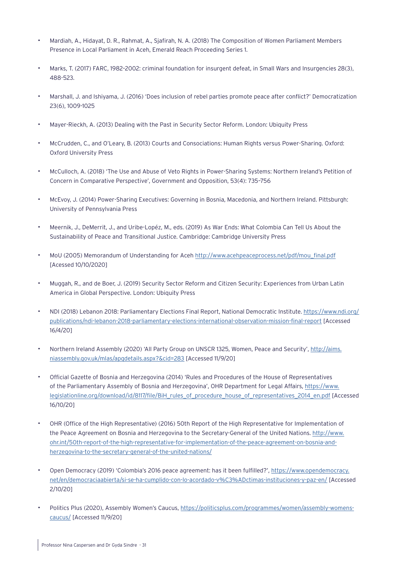- Mardiah, A., Hidayat, D. R., Rahmat, A., Sjafirah, N. A. (2018) The Composition of Women Parliament Members Presence in Local Parliament in Aceh, Emerald Reach Proceeding Series 1.
- Marks, T. (2017) FARC, 1982–2002: criminal foundation for insurgent defeat, in Small Wars and Insurgencies 28(3), 488-523.
- Marshall, J. and Ishiyama, J. (2016) 'Does inclusion of rebel parties promote peace after conflict?' Democratization 23(6), 1009-1025
- Mayer-Rieckh, A. (2013) Dealing with the Past in Security Sector Reform. London: Ubiquity Press
- McCrudden, C., and O'Leary, B. (2013) Courts and Consociations: Human Rights versus Power-Sharing. Oxford: Oxford University Press
- McCulloch, A. (2018) 'The Use and Abuse of Veto Rights in Power-Sharing Systems: Northern Ireland's Petition of Concern in Comparative Perspective', Government and Opposition, 53(4): 735–756
- McEvoy, J. (2014) Power-Sharing Executives: Governing in Bosnia, Macedonia, and Northern Ireland. Pittsburgh: University of Pennsylvania Press
- Meernik, J., DeMerrit, J., and Uribe-Lopéz, M., eds. (2019) As War Ends: What Colombia Can Tell Us About the Sustainability of Peace and Transitional Justice. Cambridge: Cambridge University Press
- MoU (2005) Memorandum of Understanding for Aceh [http://www.acehpeaceprocess.net/pdf/mou\\_final.pdf](http://www.acehpeaceprocess.net/pdf/mou_final.pdf) [Acessed 10/10/2020]
- Muggah, R., and de Boer, J. (2019) Security Sector Reform and Citizen Security: Experiences from Urban Latin America in Global Perspective. London: Ubiquity Press
- NDI (2018) Lebanon 2018: Parliamentary Elections Final Report, National Democratic Institute. [https://www.ndi.org/](https://www.ndi.org/publications/ndi-lebanon-2018-parliamentary-elections-international-observation-) [publications/ndi-lebanon-2018-parliamentary-elections-international-observation-mission-final-report](https://www.ndi.org/publications/ndi-lebanon-2018-parliamentary-elections-international-observation-) [Accessed 16/4/20]
- Northern Ireland Assembly (2020) 'All Party Group on UNSCR 1325, Women, Peace and Security', [http://aims.](http://aims.niassembly.gov.uk/mlas/apgdetails.aspx?&cid=283) [niassembly.gov.uk/mlas/apgdetails.aspx?&cid=283](http://aims.niassembly.gov.uk/mlas/apgdetails.aspx?&cid=283) [Accessed 11/9/20]
- Official Gazette of Bosnia and Herzegovina (2014) 'Rules and Procedures of the House of Representatives of the Parliamentary Assembly of Bosnia and Herzegovina', OHR Department for Legal Affairs, [https://www.](https://www.legislationline.org/download/id/8117/file/BiH_rules_of_procedure_house_of_representative) [legislationline.org/download/id/8117/file/BiH\\_rules\\_of\\_procedure\\_house\\_of\\_representatives\\_2014\\_en.pdf](https://www.legislationline.org/download/id/8117/file/BiH_rules_of_procedure_house_of_representative) [Accessed 16/10/20]
- OHR (Office of the High Representative) (2016) 50th Report of the High Representative for Implementation of the Peace Agreement on Bosnia and Herzegovina to the Secretary-General of the United Nations. [http://www.](http://www.ohr.int/50th-report-of-the-high-representative-for-implementation-of-the-peace-agreement-on-bosnia-and-herzegovina-to-the-secretary-general-of-the-united-nations/) [ohr.int/50th-report-of-the-high-representative-for-implementation-of-the-peace-agreement-on-bosnia-and](http://www.ohr.int/50th-report-of-the-high-representative-for-implementation-of-the-peace-agreement-on-bosnia-and-herzegovina-to-the-secretary-general-of-the-united-nations/)[herzegovina-to-the-secretary-general-of-the-united-nations/](http://www.ohr.int/50th-report-of-the-high-representative-for-implementation-of-the-peace-agreement-on-bosnia-and-herzegovina-to-the-secretary-general-of-the-united-nations/)
- Open Democracy (2019) 'Colombia's 2016 peace agreement: has it been fulfilled?', [https://www.opendemocracy.](https://www.opendemocracy.net/en/democraciaabierta/si-se-ha-cumplido-con-lo-acordado-v%C3%ADctimas-instituciones-y-paz-en/) [net/en/democraciaabierta/si-se-ha-cumplido-con-lo-acordado-v%C3%ADctimas-instituciones-y-paz-en/](https://www.opendemocracy.net/en/democraciaabierta/si-se-ha-cumplido-con-lo-acordado-v%C3%ADctimas-instituciones-y-paz-en/) [Accessed 2/10/20]
- Politics Plus (2020), Assembly Women's Caucus, [https://politicsplus.com/programmes/women/assembly-womens](https://politicsplus.com/programmes/women/assembly-womens-caucus/)[caucus/](https://politicsplus.com/programmes/women/assembly-womens-caucus/) [Accessed 11/9/20]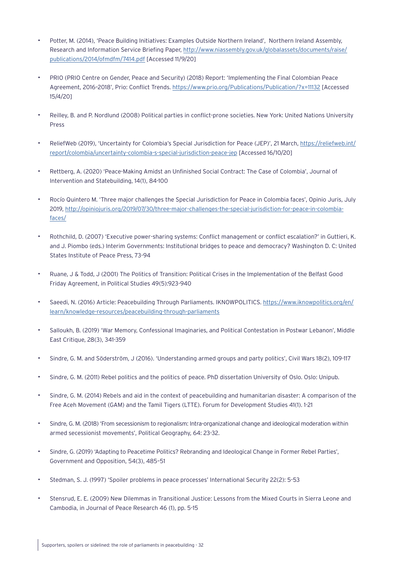- Potter, M. (2014), 'Peace Building Initiatives: Examples Outside Northern Ireland', Northern Ireland Assembly, Research and Information Service Briefing Paper, [http://www.niassembly.gov.uk/globalassets/documents/raise/](http://www.niassembly.gov.uk/globalassets/documents/raise/publications/2014/ofmdfm/7414.pdf) [publications/2014/ofmdfm/7414.pdf](http://www.niassembly.gov.uk/globalassets/documents/raise/publications/2014/ofmdfm/7414.pdf) [Accessed 11/9/20]
- PRIO (PRIO Centre on Gender, Peace and Security) (2018) Report: 'Implementing the Final Colombian Peace Agreement, 2016-2018', Prio: Conflict Trends. <https://www.prio.org/Publications/Publication/?x=11132> [Accessed 15/4/20]
- Reilley, B. and P. Nordlund (2008) Political parties in conflict-prone societies. New York: United Nations University Press
- ReliefWeb (2019), 'Uncertainty for Colombia's Special Jurisdiction for Peace (JEP)', 21 March, [https://reliefweb.int/](https://reliefweb.int/report/colombia/uncertainty-colombia-s-special-jurisdiction-peace-jep) [report/colombia/uncertainty-colombia-s-special-jurisdiction-peace-jep](https://reliefweb.int/report/colombia/uncertainty-colombia-s-special-jurisdiction-peace-jep) [Accessed 16/10/20]
- Rettberg, A. (2020) 'Peace-Making Amidst an Unfinished Social Contract: The Case of Colombia', Journal of Intervention and Statebuilding, 14(1), 84-100
- Rocío Quintero M. 'Three major challenges the Special Jurisdiction for Peace in Colombia faces', Opinio Juris, July 2019, [http://opiniojuris.org/2019/07/30/three-major-challenges-the-special-jurisdiction-for-peace-in-colombia](http://opiniojuris.org/2019/07/30/three-major-challenges-the-special-jurisdiction-for-peace-in-colom)[faces/](http://opiniojuris.org/2019/07/30/three-major-challenges-the-special-jurisdiction-for-peace-in-colom)
- Rothchild, D. (2007) 'Executive power-sharing systems: Conflict management or conflict escalation?' in Guttieri, K. and J. Piombo (eds.) Interim Governments: Institutional bridges to peace and democracy? Washington D. C: United States Institute of Peace Press, 73-94
- Ruane, J & Todd, J (2001) The Politics of Transition: Political Crises in the Implementation of the Belfast Good Friday Agreement, in Political Studies 49(5):923-940
- Saeedi, N. (2016) Article: Peacebuilding Through Parliaments. IKNOWPOLITICS. [https://www.iknowpolitics.org/en/](https://www.iknowpolitics.org/en/learn/knowledge-resources/peacebuilding-through-parliaments) [learn/knowledge-resources/peacebuilding-through-parliaments](https://www.iknowpolitics.org/en/learn/knowledge-resources/peacebuilding-through-parliaments)
- Salloukh, B. (2019) 'War Memory, Confessional Imaginaries, and Political Contestation in Postwar Lebanon', Middle East Critique, 28(3), 341-359
- Sindre, G. M. and Söderström, J (2016). 'Understanding armed groups and party politics', Civil Wars 18(2), 109-117
- Sindre, G. M. (2011) Rebel politics and the politics of peace. PhD dissertation University of Oslo. Oslo: Unipub.
- Sindre, G. M. (2014) Rebels and aid in the context of peacebuilding and humanitarian disaster: A comparison of the Free Aceh Movement (GAM) and the Tamil Tigers (LTTE). Forum for Development Studies 41(1). 1-21
- Sindre, G. M. (2018) 'From secessionism to regionalism: Intra-organizational change and ideological moderation within armed secessionist movements', Political Geography, 64: 23-32.
- Sindre, G. (2019) 'Adapting to Peacetime Politics? Rebranding and Ideological Change in Former Rebel Parties', Government and Opposition, 54(3), 485–51
- Stedman, S. J. (1997) 'Spoiler problems in peace processes' International Security 22(2): 5-53
- Stensrud, E. E. (2009) New Dilemmas in Transitional Justice: Lessons from the Mixed Courts in Sierra Leone and Cambodia, in Journal of Peace Research 46 (1), pp. 5-15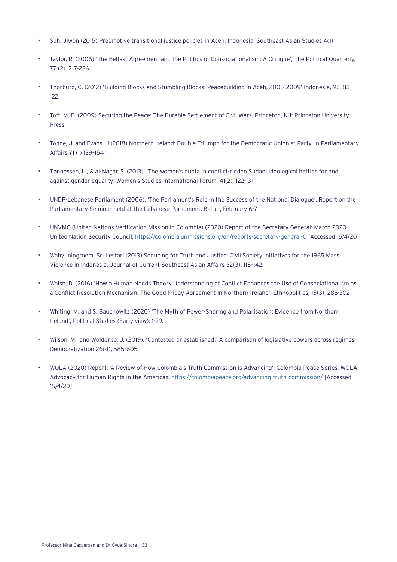- Suh, Jiwon (2015) Preemptive transitional justice policies in Aceh, Indonesia. Southeast Asian Studies 4(1)
- Taylor, R. (2006) 'The Belfast Agreement and the Politics of Consociationalism: A Critique', The Political Quarterly, 77 (2), 217–226
- Thorburg, C. (2012) 'Building Blocks and Stumbling Blocks: Peacebuilding in Aceh, 2005–2009' Indonesia, 93, 83- 122
- Toft, M. D. (2009) Securing the Peace: The Durable Settlement of Civil Wars. Princeton, NJ: Princeton University Press
- Tonge, J. and Evans, J (2018) Northern Ireland: Double Triumph for the Democratic Unionist Party, in Parliamentary Affairs 71 (1) 139–154
- Tønnessen, L., & al-Nagar, S. (2013). 'The women's quota in conflict-ridden Sudan: Ideological battles for and against gender equality' Women's Studies International Forum, 41(2), 122-131
- UNDP-Lebanese Parliament (2006), 'The Parliament's Role in the Success of the National Dialogue', Report on the Parliamentary Seminar held at the Lebanese Parliament, Beirut, February 6-7
- UNVMC (United Nations Verification Mission in Colombia) (2020) Report of the Secretary General: March 2020. United Nation Security Council. <https://colombia.unmissions.org/en/reports-secretary-general-0>[Accessed 15/4/20]
- Wahyuningroem, Sri Lestari (2013) Seducing for Truth and Justice: Civil Society Initiatives for the 1965 Mass Violence in Indonesia. Journal of Current Southeast Asian Affairs 32(3): 115–142.
- Walsh, D. (2016) 'How a Human Needs Theory Understanding of Conflict Enhances the Use of Consociationalism as a Conflict Resolution Mechanism: The Good Friday Agreement in Northern Ireland', Ethnopolitics, 15(3), 285-302
- Whiting, M. and S. Bauchowitz (2020) 'The Myth of Power-Sharing and Polarisation: Evidence from Northern Ireland', Political Studies (Early view): 1-29.
- Wilson, M., and Woldense, J. (2019). 'Contested or established? A comparison of legislative powers across regimes' Democratization 26(4), 585-605.
- WOLA (2020) Report: 'A Review of How Colombia's Truth Commission is Advancing', Colombia Peace Series, WOLA: Advocacy for Human Rights in the Americas. [https://colombiapeace.org/advancing-truth-commission/ \[](https://colombiapeace.org/advancing-truth-commission/)Accessed 15/4/20]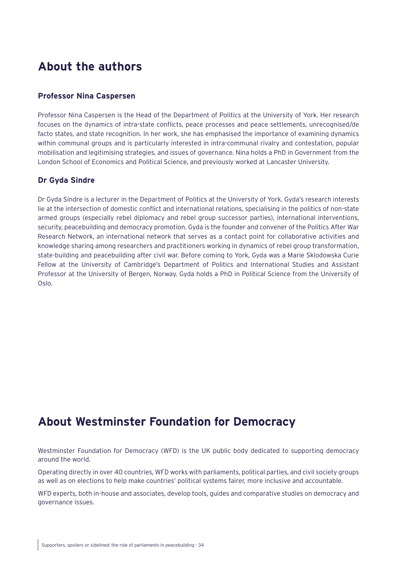## <span id="page-33-0"></span>**About the authors**

## **Professor Nina Caspersen**

Professor Nina Caspersen is the Head of the Department of Politics at the University of York. Her research focuses on the dynamics of intra-state conflicts, peace processes and peace settlements, unrecognised/de facto states, and state recognition. In her work, she has emphasised the importance of examining dynamics within communal groups and is particularly interested in intra-communal rivalry and contestation, popular mobilisation and legitimising strategies, and issues of governance. Nina holds a PhD in Government from the London School of Economics and Political Science, and previously worked at Lancaster University.

## **Dr Gyda Sindre**

Dr Gyda Sindre is a lecturer in the Department of Politics at the University of York. Gyda's research interests lie at the intersection of domestic conflict and international relations, specialising in the politics of non-state armed groups (especially rebel diplomacy and rebel group successor parties), international interventions, security, peacebuilding and democracy promotion. Gyda is the founder and convener of the Politics After War Research Network, an international network that serves as a contact point for collaborative activities and knowledge sharing among researchers and practitioners working in dynamics of rebel group transformation, state-building and peacebuilding after civil war. Before coming to York, Gyda was a Marie Sklodowska Curie Fellow at the University of Cambridge's Department of Politics and International Studies and Assistant Professor at the University of Bergen, Norway. Gyda holds a PhD in Political Science from the University of Oslo.

# **About Westminster Foundation for Democracy**

Westminster Foundation for Democracy (WFD) is the UK public body dedicated to supporting democracy around the world.

Operating directly in over 40 countries, WFD works with parliaments, political parties, and civil society groups as well as on elections to help make countries' political systems fairer, more inclusive and accountable.

WFD experts, both in-house and associates, develop tools, guides and comparative studies on democracy and governance issues.